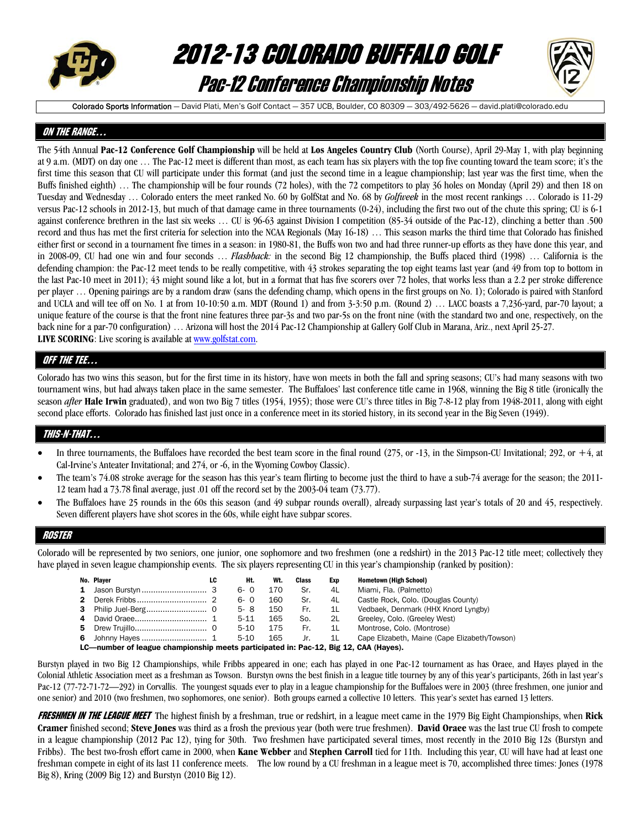

# 2012-13 COLORADO BUFFALO GOLF Pac-12 Conference Championship Notes



Colorado Sports Information - David Plati, Men's Golf Contact - 357 UCB, Boulder, CO 80309 - 303/492-5626 - david.plati@colorado.edu

## ON THE RANGE…

The 54th Annual **Pac-12 Conference Golf Championship** will be held at **Los Angeles Country Club** (North Course), April 29-May 1, with play beginning at 9 a.m. (MDT) on day one … The Pac-12 meet is different than most, as each team has six players with the top five counting toward the team score; it's the first time this season that CU will participate under this format (and just the second time in a league championship; last year was the first time, when the Buffs finished eighth) … The championship will be four rounds (72 holes), with the 72 competitors to play 36 holes on Monday (April 29) and then 18 on Tuesday and Wednesday … Colorado enters the meet ranked No. 60 by GolfStat and No. 68 by *Golfweek* in the most recent rankings … Colorado is 11-29 versus Pac-12 schools in 2012-13, but much of that damage came in three tournaments (0-24), including the first two out of the chute this spring; CU is 6-1 against conference brethren in the last six weeks … CU is 96-63 against Division I competition (85-34 outside of the Pac-12), clinching a better than .500 record and thus has met the first criteria for selection into the NCAA Regionals (May 16-18) … This season marks the third time that Colorado has finished either first or second in a tournament five times in a season: in 1980-81, the Buffs won two and had three runner-up efforts as they have done this year, and in 2008-09, CU had one win and four seconds … *Flashback:* in the second Big 12 championship, the Buffs placed third (1998) … California is the defending champion: the Pac-12 meet tends to be really competitive, with 43 strokes separating the top eight teams last year (and 49 from top to bottom in the last Pac-10 meet in 2011); 43 might sound like a lot, but in a format that has five scorers over 72 holes, that works less than a 2.2 per stroke difference per player … Opening pairings are by a random draw (sans the defending champ, which opens in the first groups on No. 1); Colorado is paired with Stanford and UCLA and will tee off on No. 1 at from 10-10:50 a.m. MDT (Round 1) and from 3-3:50 p.m. (Round 2) … LACC boasts a 7,236-yard, par-70 layout; a unique feature of the course is that the front nine features three par-3s and two par-5s on the front nine (with the standard two and one, respectively, on the back nine for a par-70 configuration) … Arizona will host the 2014 Pac-12 Championship at Gallery Golf Club in Marana, Ariz., next April 25-27. **LIVE SCORING**: Live scoring is available at www.golfstat.com.

## QFF THE TEE…

Colorado has two wins this season, but for the first time in its history, have won meets in both the fall and spring seasons; CU's had many seasons with two tournament wins, but had always taken place in the same semester. The Buffaloes' last conference title came in 1968, winning the Big 8 title (ironically the season *after* Hale Irwin graduated), and won two Big 7 titles (1954, 1955); those were CU's three titles in Big 7-8-12 play from 1948-2011, along with eight second place efforts. Colorado has finished last just once in a conference meet in its storied history, in its second year in the Big Seven (1949).

## THIS-N-THAT…

- In three tournaments, the Buffaloes have recorded the best team score in the final round  $(275,$  or  $-13$ , in the Simpson-CU Invitational; 292, or  $+4$ , at Cal-Irvine's Anteater Invitational; and 274, or -6, in the Wyoming Cowboy Classic).
- The team's 74.08 stroke average for the season has this year's team flirting to become just the third to have a sub-74 average for the season; the 2011- 12 team had a 73.78 final average, just .01 off the record set by the 2003-04 team (73.77).
- The Buffaloes have 25 rounds in the 60s this season (and 49 subpar rounds overall), already surpassing last year's totals of 20 and 45, respectively. Seven different players have shot scores in the 60s, while eight have subpar scores.

## ROSTER

Colorado will be represented by two seniors, one junior, one sophomore and two freshmen (one a redshirt) in the 2013 Pac-12 title meet; collectively they have played in seven league championship events. The six players representing CU in this year's championship (ranked by position):

|    |    | No. Player                                                                           | LC | Ht.      | Wt. | Class | Exp            | <b>Hometown (High School)</b>                 |
|----|----|--------------------------------------------------------------------------------------|----|----------|-----|-------|----------------|-----------------------------------------------|
|    |    |                                                                                      |    | 6-0      | 170 | Sr.   | 4L             | Miami, Fla. (Palmetto)                        |
| 2  |    |                                                                                      |    | $6 - 0$  | 160 | Sr.   | 4L             | Castle Rock, Colo. (Douglas County)           |
| з. |    |                                                                                      |    | $5 - 8$  | 150 | Fr.   | 1L             | Vedbaek, Denmark (HHX Knord Lyngby)           |
| 4  |    |                                                                                      |    | $5 - 11$ | 165 | So.   | 2L             | Greeley, Colo. (Greeley West)                 |
|    | 5. |                                                                                      |    | $5-10$   | 175 | Fr.   | 1 <sub>L</sub> | Montrose, Colo, (Montrose)                    |
| 6  |    |                                                                                      |    | $5-10$   | 165 | Jr.   | 1L             | Cape Elizabeth, Maine (Cape Elizabeth/Towson) |
|    |    | I C—number of leadue chamnionshin meets narticinated in: Pac-12, Rid 12, CAA (Haves) |    |          |     |       |                |                                               |

—number of league championship meets participated in: Pac-12, Big 12, CAA (Hayes).

Burstyn played in two Big 12 Championships, while Fribbs appeared in one; each has played in one Pac-12 tournament as has Oraee, and Hayes played in the Colonial Athletic Association meet as a freshman as Towson. Burstyn owns the best finish in a league title tourney by any of this year's participants, 26th in last year's Pac-12 (77-72-71-72—292) in Corvallis. The youngest squads ever to play in a league championship for the Buffaloes were in 2003 (three freshmen, one junior and one senior) and 2010 (two freshmen, two sophomores, one senior). Both groups earned a collective 10 letters. This year's sextet has earned 13 letters.

FRESHMEN IN THE LEAGUE MEET The highest finish by a freshman, true or redshirt, in a league meet came in the 1979 Big Eight Championships, when **Rick Cramer** finished second; **Steve Jones** was third as a frosh the previous year (both were true freshmen). **David Oraee** was the last true CU frosh to compete in a league championship (2012 Pac 12), tying for 30th. Two freshmen have participated several times, most recently in the 2010 Big 12s (Burstyn and Fribbs). The best two-frosh effort came in 2000, when **Kane Webber** and **Stephen Carroll** tied for 11th. Including this year, CU will have had at least one freshman compete in eight of its last 11 conference meets. The low round by a CU freshman in a league meet is 70, accomplished three times: Jones (1978 Big 8), Kring (2009 Big 12) and Burstyn (2010 Big 12).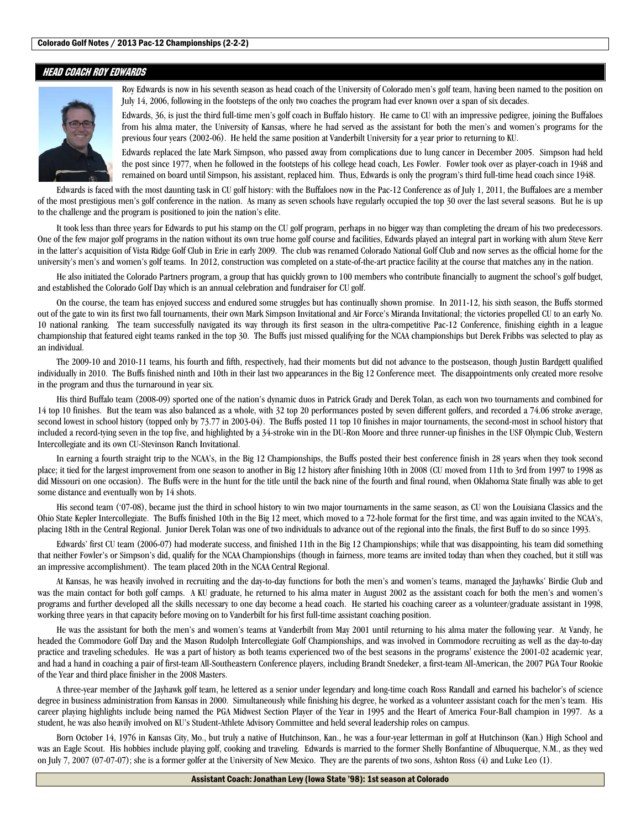## HEAD COACH ROY EDWARDS



Roy Edwards is now in his seventh season as head coach of the University of Colorado men's golf team, having been named to the position on July 14, 2006, following in the footsteps of the only two coaches the program had ever known over a span of six decades.

Edwards, 36, is just the third full-time men's golf coach in Buffalo history. He came to CU with an impressive pedigree, joining the Buffaloes from his alma mater, the University of Kansas, where he had served as the assistant for both the men's and women's programs for the previous four years (2002-06). He held the same position at Vanderbilt University for a year prior to returning to KU.

Edwards replaced the late Mark Simpson, who passed away from complications due to lung cancer in December 2005. Simpson had held the post since 1977, when he followed in the footsteps of his college head coach, Les Fowler. Fowler took over as player-coach in 1948 and remained on board until Simpson, his assistant, replaced him. Thus, Edwards is only the program's third full-time head coach since 1948.

 Edwards is faced with the most daunting task in CU golf history: with the Buffaloes now in the Pac-12 Conference as of July 1, 2011, the Buffaloes are a member of the most prestigious men's golf conference in the nation. As many as seven schools have regularly occupied the top 30 over the last several seasons. But he is up to the challenge and the program is positioned to join the nation's elite.

 It took less than three years for Edwards to put his stamp on the CU golf program, perhaps in no bigger way than completing the dream of his two predecessors. One of the few major golf programs in the nation without its own true home golf course and facilities, Edwards played an integral part in working with alum Steve Kerr in the latter's acquisition of Vista Ridge Golf Club in Erie in early 2009. The club was renamed Colorado National Golf Club and now serves as the official home for the university's men's and women's golf teams. In 2012, construction was completed on a state-of-the-art practice facility at the course that matches any in the nation.

 He also initiated the Colorado Partners program, a group that has quickly grown to 100 members who contribute financially to augment the school's golf budget, and established the Colorado Golf Day which is an annual celebration and fundraiser for CU golf.

 On the course, the team has enjoyed success and endured some struggles but has continually shown promise. In 2011-12, his sixth season, the Buffs stormed out of the gate to win its first two fall tournaments, their own Mark Simpson Invitational and Air Force's Miranda Invitational; the victories propelled CU to an early No. 10 national ranking. The team successfully navigated its way through its first season in the ultra-competitive Pac-12 Conference, finishing eighth in a league championship that featured eight teams ranked in the top 30. The Buffs just missed qualifying for the NCAA championships but Derek Fribbs was selected to play as an individual.

 The 2009-10 and 2010-11 teams, his fourth and fifth, respectively, had their moments but did not advance to the postseason, though Justin Bardgett qualified individually in 2010. The Buffs finished ninth and 10th in their last two appearances in the Big 12 Conference meet. The disappointments only created more resolve in the program and thus the turnaround in year six.

 His third Buffalo team (2008-09) sported one of the nation's dynamic duos in Patrick Grady and Derek Tolan, as each won two tournaments and combined for 14 top 10 finishes. But the team was also balanced as a whole, with 32 top 20 performances posted by seven different golfers, and recorded a 74.06 stroke average, second lowest in school history (topped only by 73.77 in 2003-04). The Buffs posted 11 top 10 finishes in major tournaments, the second-most in school history that included a record-tying seven in the top five, and highlighted by a 34-stroke win in the DU-Ron Moore and three runner-up finishes in the USF Olympic Club, Western Intercollegiate and its own CU-Stevinson Ranch Invitational.

 In earning a fourth straight trip to the NCAA's, in the Big 12 Championships, the Buffs posted their best conference finish in 28 years when they took second place; it tied for the largest improvement from one season to another in Big 12 history after finishing 10th in 2008 (CU moved from 11th to 3rd from 1997 to 1998 as did Missouri on one occasion). The Buffs were in the hunt for the title until the back nine of the fourth and final round, when Oklahoma State finally was able to get some distance and eventually won by 14 shots.

 His second team ('07-08), became just the third in school history to win two major tournaments in the same season, as CU won the Louisiana Classics and the Ohio State Kepler Intercollegiate. The Buffs finished 10th in the Big 12 meet, which moved to a 72-hole format for the first time, and was again invited to the NCAA's, placing 18th in the Central Regional. Junior Derek Tolan was one of two individuals to advance out of the regional into the finals, the first Buff to do so since 1993.

 Edwards' first CU team (2006-07) had moderate success, and finished 11th in the Big 12 Championships; while that was disappointing, his team did something that neither Fowler's or Simpson's did, qualify for the NCAA Championships (though in fairness, more teams are invited today than when they coached, but it still was an impressive accomplishment). The team placed 20th in the NCAA Central Regional.

 At Kansas, he was heavily involved in recruiting and the day-to-day functions for both the men's and women's teams, managed the Jayhawks' Birdie Club and was the main contact for both golf camps. A KU graduate, he returned to his alma mater in August 2002 as the assistant coach for both the men's and women's programs and further developed all the skills necessary to one day become a head coach. He started his coaching career as a volunteer/graduate assistant in 1998, working three years in that capacity before moving on to Vanderbilt for his first full-time assistant coaching position.

 He was the assistant for both the men's and women's teams at Vanderbilt from May 2001 until returning to his alma mater the following year. At Vandy, he headed the Commodore Golf Day and the Mason Rudolph Intercollegiate Golf Championships, and was involved in Commodore recruiting as well as the day-to-day practice and traveling schedules. He was a part of history as both teams experienced two of the best seasons in the programs' existence the 2001-02 academic year, and had a hand in coaching a pair of first-team All-Southeastern Conference players, including Brandt Snedeker, a first-team All-American, the 2007 PGA Tour Rookie of the Year and third place finisher in the 2008 Masters.

 A three-year member of the Jayhawk golf team, he lettered as a senior under legendary and long-time coach Ross Randall and earned his bachelor's of science degree in business administration from Kansas in 2000. Simultaneously while finishing his degree, he worked as a volunteer assistant coach for the men's team. His career playing highlights include being named the PGA Midwest Section Player of the Year in 1995 and the Heart of America Four-Ball champion in 1997. As a student, he was also heavily involved on KU's Student-Athlete Advisory Committee and held several leadership roles on campus.

 Born October 14, 1976 in Kansas City, Mo., but truly a native of Hutchinson, Kan., he was a four-year letterman in golf at Hutchinson (Kan.) High School and was an Eagle Scout. His hobbies include playing golf, cooking and traveling. Edwards is married to the former Shelly Bonfantine of Albuquerque, N.M., as they wed on July 7, 2007 (07-07-07); she is a former golfer at the University of New Mexico. They are the parents of two sons, Ashton Ross (4) and Luke Leo (1).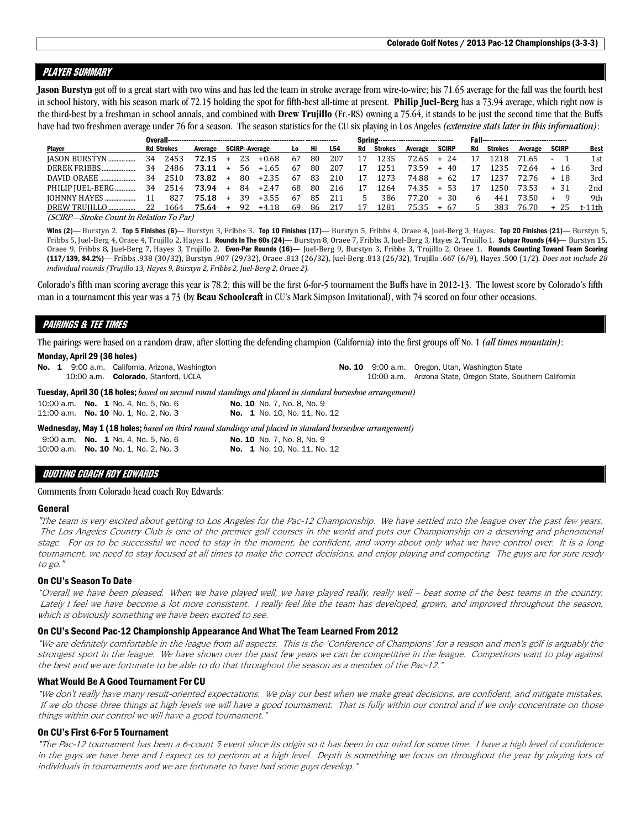## Player summary

**Jason Burstyn** got off to a great start with two wins and has led the team in stroke average from wire-to-wire; his 71.65 average for the fall was the fourth best in school history, with his season mark of 72.15 holding the spot for fifth-best all-time at present. **Philip Juel-Berg** has a 73.94 average, which right now is the third-best by a freshman in school annals, and combined with **Drew Trujillo** (Fr.-RS) owning a 75.64, it stands to be just the second time that the Buffs have had two freshmen average under 76 for a season. The season statistics for the CU six playing in Los Angeles *(extensive stats later in this information)*:

|                  |    |                   |           |     |     |                      |     |      |     | Spring---------------------------------- |                |              |              |    |         |           |              |        |
|------------------|----|-------------------|-----------|-----|-----|----------------------|-----|------|-----|------------------------------------------|----------------|--------------|--------------|----|---------|-----------|--------------|--------|
| <b>Plaver</b>    |    | <b>Rd Strokes</b> | Average   |     |     | <b>SCIRP-Average</b> | Lo  | Hi   | L54 | Rd                                       | <b>Strokes</b> | Average      | <b>SCIRP</b> | Rd | Strokes | Average   | <b>SCIRP</b> | Best   |
| IASON BURSTYN    | 34 | 2453              | $72.15 +$ |     | 23  | $+0.68$              | 67  | 80   | 207 | 17                                       | 1235           | 72.65        | $+24$        | 17 | 1218    | 71.65 - 1 |              | 1st    |
| DEREK FRIBBS     | 34 | 2486              | $73.11 +$ |     | 56. | +1.65                | 67  | 80   | 207 | 17                                       | 1251           | 73.59        | $+40$        | 17 | 1235    | 72.64     | + 16         | 3rd    |
| DAVID ORAEE      | 34 | 2510              | 73.82     | $+$ | 80. | $+2.35$              | 67  | 83   | 210 | 17                                       | 1273           | 74.88        | $+62$        | 17 | 1237    | 72.76     | + 18         | 3rd    |
| PHILIP IUEL-BERG |    | 34 2514           | 73.94 +   |     | 84  | $+2.47$              | 68  | 80   | 216 | 17                                       | 1264           | 74.35        | + 53         | 17 | 1250    | 73.53     | $+31$        | 2nd    |
|                  |    | 827               | $75.18 +$ |     | 39  | +3.55                | 67  | -85  | 211 | .5.                                      | 386            | 77.20        | $+30$        | 6  | 441     | 73.50     | $+ 9$        | 9th    |
| DREW TRUILLO     | 22 | 1664              | 75.64 +   |     | 92  | +4.18                | -69 | - 86 | 217 | 17                                       | 1281           | $75.35 + 67$ |              | .5 | 383.    | 76.70     | + 25         | t-11th |
|                  |    |                   |           |     |     |                      |     |      |     |                                          |                |              |              |    |         |           |              |        |

(SCIRP—Stroke Count In Relation To Par)

Wins (2)— Burstyn 2. Top 5 Finishes (6)— Burstyn 3, Fribbs 3. Top 10 Finishes (17)— Burstyn 5, Fribbs 4, Oraee 4, Juel-Berg 3, Hayes. Top 20 Finishes (21)— Burstyn 5, Fribbs 5, Juel-Berg 4, Oraee 4, Trujillo 2, Hayes 1. Rounds In The 60s (24)— Burstyn 8, Oraee 7, Fribbs 3, Juel-Berg 3, Hayes 2, Trujillo 1. Subpar Rounds (44)— Burstyn 15, Oraee 9, Fribbs 8, Juel-Berg 7, Hayes 3, Trujillo 2. Even-Par Rounds (16)— Juel-Berg 9, Burstyn 3, Fribbs 3, Trujillo 2, Oraee 1. Rounds Counting Toward Team Scoring (117/139, 84.2%)— Fribbs .938 (30/32), Burstyn .907 (29/32), Oraee .813 (26/32), Juel-Berg .813 (26/32), Trujillo .667 (6/9), Hayes .500 (1/2). *Does not include 28 individual rounds (Trujillo 13, Hayes 9, Burstyn 2, Fribbs 2, Juel-Berg 2, Oraee 2).* 

Colorado's fifth man scoring average this year is 78.2; this will be the first 6-for-5 tournament the Buffs have in 2012-13. The lowest score by Colorado's fifth man in a tournament this year was a 73 (by **Beau Schoolcraft** in CU's Mark Simpson Invitational), with 74 scored on four other occasions.

## PAIRINGS & TEE TIMES

The pairings were based on a random draw, after slotting the defending champion (California) into the first groups off No. 1 *(all times mountain)*:

### Monday, April 29 (36 holes)

|  |  | No. 1 9:00 a.m. California, Arizona, Washington                                                                   |                                     |  | <b>No. 10</b> 9:00 a.m. Oregon, Utah, Washington State      |
|--|--|-------------------------------------------------------------------------------------------------------------------|-------------------------------------|--|-------------------------------------------------------------|
|  |  | 10:00 a.m. Colorado, Stanford, UCLA                                                                               |                                     |  | 10:00 a.m. Arizona State, Oregon State, Southern California |
|  |  | <b>Tuesday, April 30 (18 holes;</b> based on second round standings and placed in standard horseshoe arrangement) |                                     |  |                                                             |
|  |  | 10:00 a.m. <b>No. 1</b> No. 4, No. 5, No. 6                                                                       | <b>No. 10</b> No. 7, No. 8, No. 9   |  |                                                             |
|  |  | 11:00 a.m. No. 10 No. 1, No. 2, No. 3                                                                             | No. 1 No. 10, No. 11, No. 12        |  |                                                             |
|  |  | Wednesday, May 1 (18 holes; based on third round standings and placed in standard horseshoe arrangement)          |                                     |  |                                                             |
|  |  | 9:00 a.m. <b>No. 1</b> No. 4, No. 5, No. 6                                                                        | <b>No. 10</b> No. 7, No. 8, No. 9   |  |                                                             |
|  |  | 10:00 a.m. <b>No. 10</b> No. 1, No. 2, No. 3                                                                      | <b>No. 1</b> No. 10, No. 11, No. 12 |  |                                                             |

### QUOTING COACH ROY EDWARDS

Comments from Colorado head coach Roy Edwards:

### General

"The team is very excited about getting to Los Angeles for the Pac-12 Championship. We have settled into the league over the past few years. The Los Angeles Country Club is one of the premier golf courses in the world and puts our Championship on a deserving and phenomenal stage. For us to be successful we need to stay in the moment, be confident, and worry about only what we have control over. It is a long tournament, we need to stay focused at all times to make the correct decisions, and enjoy playing and competing. The guys are for sure ready to go."

### On CU's Season To Date

"Overall we have been pleased. When we have played well, we have played really, really well – beat some of the best teams in the country. Lately I feel we have become a lot more consistent. I really feel like the team has developed, grown, and improved throughout the season, which is obviously something we have been excited to see.

### On CU's Second Pac-12 Championship Appearance And What The Team Learned From 2012

"We are definitely comfortable in the league from all aspects. This is the 'Conference of Champions' for a reason and men's golf is arguably the strongest sport in the league. We have shown over the past few years we can be competitive in the league. Competitors want to play against the best and we are fortunate to be able to do that throughout the season as a member of the Pac-12."

### What Would Be A Good Tournament For CU

"We don't really have many result-oriented expectations. We play our best when we make great decisions, are confident, and mitigate mistakes. If we do those three things at high levels we will have a good tournament. That is fully within our control and if we only concentrate on those things within our control we will have a good tournament."

### On CU's First 6-For 5 Tournament

"The Pac-12 tournament has been a 6-count 5 event since its origin so it has been in our mind for some time. I have a high level of confidence in the guys we have here and I expect us to perform at a high level. Depth is something we focus on throughout the year by playing lots of individuals in tournaments and we are fortunate to have had some guys develop."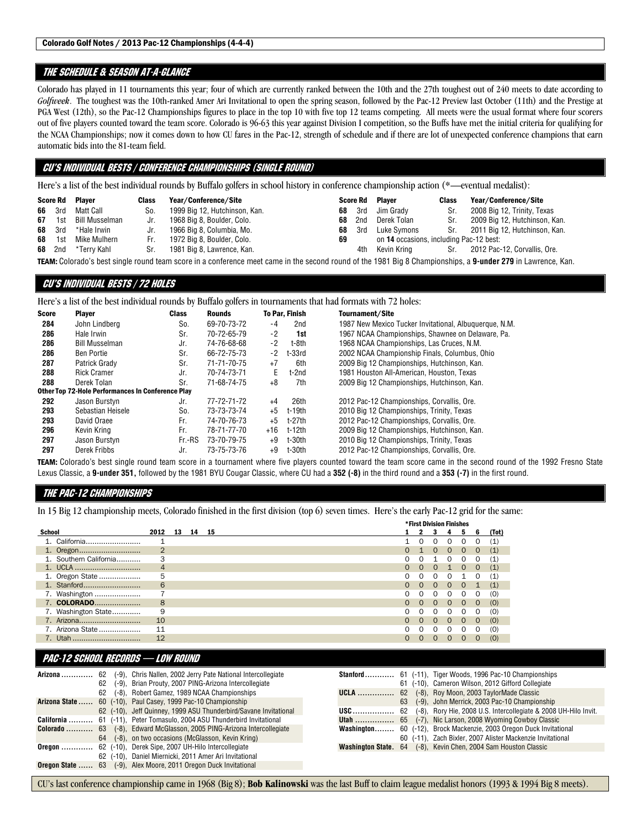## The schedule & SEASON AT-A-GLANCE

Colorado has played in 11 tournaments this year; four of which are currently ranked between the 10th and the 27th toughest out of 240 meets to date according to *Golfweek*. The toughest was the 10th-ranked Amer Ari Invitational to open the spring season, followed by the Pac-12 Preview last October (11th) and the Prestige at PGA West (12th), so the Pac-12 Championships figures to place in the top 10 with five top 12 teams competing. All meets were the usual format where four scorers out of five players counted toward the team score. Colorado is 96-63 this year against Division I competition, so the Buffs have met the initial criteria for qualifying for the NCAA Championships; now it comes down to how CU fares in the Pac-12, strength of schedule and if there are lot of unexpected conference champions that earn automatic bids into the 81-team field.

## CU's INDIVIDUAL BESTS / CONFERENCE CHAMPIONSHIPS (SINGLE ROUND)

Here's a list of the best individual rounds by Buffalo golfers in school history in conference championship action (\*—eventual medalist):

|    |               | Score Rd Player    | <b>Class</b> | Year/Conference/Site                                                                                                                                         |    |     | Score Rd Plaver                         | <b>Class</b> | Year/Conference/Site              |
|----|---------------|--------------------|--------------|--------------------------------------------------------------------------------------------------------------------------------------------------------------|----|-----|-----------------------------------------|--------------|-----------------------------------|
|    | 66 3rd        | Matt Call          | So.          | 1999 Big 12, Hutchinson, Kan.                                                                                                                                | 68 | 3rd | Jim Gradv                               | Sr.          | 2008 Big 12, Trinity, Texas       |
|    | <b>67</b> 1st | Bill Musselman     | Jr.          | 1968 Big 8, Boulder, Colo.                                                                                                                                   | 68 | 2nd | Derek Tolan                             |              | Sr. 2009 Big 12, Hutchinson, Kan. |
|    | 68 3rd        | *Hale Irwin        | Jr.          | 1966 Big 8, Columbia, Mo.                                                                                                                                    | 68 | 3rd | Luke Svmons                             |              | Sr. 2011 Big 12, Hutchinson, Kan. |
| 68 | 1st           | Mike Mulhern       | Fr.          | 1972 Big 8, Boulder, Colo.                                                                                                                                   | 69 |     | on 14 occasions, including Pac-12 best: |              |                                   |
|    |               | 68 2nd *Terry Kahl | Sr.          | 1981 Big 8, Lawrence, Kan.                                                                                                                                   |    | 4th | Kevin Krina                             |              | Sr. 2012 Pac-12, Corvallis, Ore.  |
|    |               |                    |              | TEAM: Colorado's best single round team score in a conference meet came in the second round of the 1981 Big 8 Championships, a 9-under 279 in Lawrence, Kan. |    |     |                                         |              |                                   |

### CU's INDIVIDUAL BESTS / 72 HOLES

Here's a list of the best individual rounds by Buffalo golfers in tournaments that had formats with 72 holes:

| <b>Score</b> | <b>Player</b>                                            | <b>Class</b> | <b>Rounds</b> |       | <b>To Par, Finish</b> | Tournament/Site                                        |
|--------------|----------------------------------------------------------|--------------|---------------|-------|-----------------------|--------------------------------------------------------|
| 284          | John Lindberg                                            | So.          | 69-70-73-72   | -4    | 2nd                   | 1987 New Mexico Tucker Invitational, Albuguergue, N.M. |
| 286          | Hale Irwin                                               | Sr.          | 70-72-65-79   | $-2$  | 1st                   | 1967 NCAA Championships, Shawnee on Delaware, Pa.      |
| 286          | <b>Bill Musselman</b>                                    | Jr.          | 74-76-68-68   | $-2$  | t-8th                 | 1968 NCAA Championships. Las Cruces, N.M.              |
| 286          | Ben Portie                                               | Sr.          | 66-72-75-73   | $-2$  | $t-33rd$              | 2002 NCAA Championship Finals, Columbus, Ohio          |
| 287          | Patrick Grady                                            | Sr.          | 71-71-70-75   | $+7$  | 6th                   | 2009 Big 12 Championships, Hutchinson, Kan.            |
| 288          | <b>Rick Cramer</b>                                       | Jr.          | 70-74-73-71   | F.    | t-2nd                 | 1981 Houston All-American, Houston, Texas              |
| 288          | Derek Tolan                                              | Sr.          | 71-68-74-75   | $+8$  | 7th                   | 2009 Big 12 Championships, Hutchinson, Kan.            |
|              | <b>Other Top 72-Hole Performances In Conference Play</b> |              |               |       |                       |                                                        |
| 292          | Jason Burstyn                                            | Jr.          | 77-72-71-72   | +4    | 26th                  | 2012 Pac-12 Championships, Corvallis, Ore.             |
| 293          | Sebastian Heisele                                        | So.          | 73-73-73-74   | $+5$  | t-19th                | 2010 Big 12 Championships, Trinity, Texas              |
| 293          | David Oraee                                              | Fr.          | 74-70-76-73   | $+5$  | t-27th                | 2012 Pac-12 Championships, Corvallis, Ore.             |
| 296          | Kevin Krina                                              | Fr.          | 78-71-77-70   | $+16$ | t-12th                | 2009 Big 12 Championships, Hutchinson, Kan.            |
| 297          | Jason Burstyn                                            | Fr.-RS       | 73-70-79-75   | $+9$  | t-30th                | 2010 Big 12 Championships, Trinity, Texas              |
| 297          | Derek Fribbs                                             | Jr.          | 73-75-73-76   | $+9$  | t-30th                | 2012 Pac-12 Championships, Corvallis, Ore.             |

TEAM: Colorado's best single round team score in a tournament where five players counted toward the team score came in the second round of the 1992 Fresno State Lexus Classic, a **9-under 351,** followed by the 1981 BYU Cougar Classic, where CU had a **352 (-8)** in the third round and a **353 (-7)** in the first round.

## THE PAC-12 CHAMPIONSHIPS

In 15 Big 12 championship meets, Colorado finished in the first division (top 6) seven times. Here's the early Pac-12 grid for the same:

|                        |                |    |    |    |  | <b>*First Division Finishes</b> |          |          |          |          |          |       |
|------------------------|----------------|----|----|----|--|---------------------------------|----------|----------|----------|----------|----------|-------|
| School                 | 2012           | 13 | 14 | 15 |  |                                 |          |          |          |          | 6        | (Tot) |
| 1. California          |                |    |    |    |  |                                 |          |          | $\Omega$ | $\Omega$ | O        | (1)   |
|                        | $\overline{2}$ |    |    |    |  |                                 |          | $\Omega$ | $\Omega$ | $\Omega$ | $\Omega$ | (1)   |
| 1. Southern California |                |    |    |    |  |                                 | O        |          | $\Omega$ |          | O        | (1,   |
|                        |                |    |    |    |  |                                 | $\Omega$ | $\Omega$ |          | $\Omega$ | $\Omega$ | (1)   |
| 1. Oregon State        | 5              |    |    |    |  |                                 | 0        | $\Omega$ | $\Omega$ |          | 0        | (1)   |
|                        | 6              |    |    |    |  |                                 | $\Omega$ | $\Omega$ | $\Omega$ | $\Omega$ |          | (1)   |
| 7. Washington          |                |    |    |    |  |                                 | O        |          | $\Omega$ | O        | 0        | (0)   |
| 7. COLORADO            | 8              |    |    |    |  |                                 | $\Omega$ | $\Omega$ | $\Omega$ | $\Omega$ | $\Omega$ | (0)   |
| 7. Washington State    | 9              |    |    |    |  | 0                               | $\Omega$ | $\Omega$ | $\Omega$ | $\Omega$ | 0        | (0)   |
|                        | 10             |    |    |    |  |                                 | $\Omega$ | $\Omega$ | $\Omega$ | $\Omega$ | $\Omega$ | (0)   |
| 7. Arizona State       | 11             |    |    |    |  |                                 |          |          |          |          | 0        | (0)   |
| 7. Utah                | 12             |    |    |    |  | O                               | ∩        | $\Omega$ | $\Omega$ |          | 0        | (0)   |

### PAC-12 SCHOOL RECORDS — LOW ROUND

| Arizona          | 62 | 62 (-9), Chris Nallen, 2002 Jerry Pate National Intercollegiate<br>(-9), Brian Prouty, 2007 PING-Arizona Intercollegiate | Stanford    |    | 61 (-11), Tiger Woods, 1996 Pac-10 Championships<br>61 (-10), Cameron Wilson, 2012 Gifford Collegiate |
|------------------|----|--------------------------------------------------------------------------------------------------------------------------|-------------|----|-------------------------------------------------------------------------------------------------------|
|                  |    | 62 (-8), Robert Gamez, 1989 NCAA Championships                                                                           | <b>UCLA</b> |    | 62 (-8), Roy Moon, 2003 TaylorMade Classic                                                            |
|                  |    | Arizona State  60 (-10), Paul Casey, 1999 Pac-10 Championship                                                            |             | 63 | (-9), John Merrick, 2003 Pac-10 Championship                                                          |
|                  |    | 62 (-10), Jeff Quinney, 1999 ASU Thunderbird/Savane Invitational                                                         | USC         |    | 62 (-8), Rory Hie, 2008 U.S. Intercollegiate & 2008 UH-Hilo Invit.                                    |
|                  |    | <b>California</b> 61 (-11), Peter Tomasulo, 2004 ASU Thunderbird Invitational                                            |             |    | <b>Utah </b> 65 (-7), Nic Larson, 2008 Wyoming Cowboy Classic                                         |
|                  |    | <b>Colorado</b> 63 (-8), Edward McGlasson, 2005 PING-Arizona Intercollegiate                                             |             |    | Washington 60 (-12), Brock Mackenzie, 2003 Oregon Duck Invitational                                   |
|                  |    | 64 (-8), on two occasions (McGlasson, Kevin Kring)                                                                       |             |    | 60 (-11), Zach Bixler, 2007 Alister Mackenzie Invitational                                            |
|                  |    | Oregon  62 (-10), Derek Sipe, 2007 UH-Hilo Intercollegiate                                                               |             |    | Washington State. 64 (-8), Kevin Chen, 2004 Sam Houston Classic                                       |
|                  |    | 62 (-10), Daniel Miernicki, 2011 Amer Ari Invitational                                                                   |             |    |                                                                                                       |
| Oregon State  63 |    | (-9), Alex Moore, 2011 Oregon Duck Invitational                                                                          |             |    |                                                                                                       |

CU's last conference championship came in 1968 (Big 8); **Bob Kalinowski** was the last Buff to claim league medalist honors (1993 & 1994 Big 8 meets).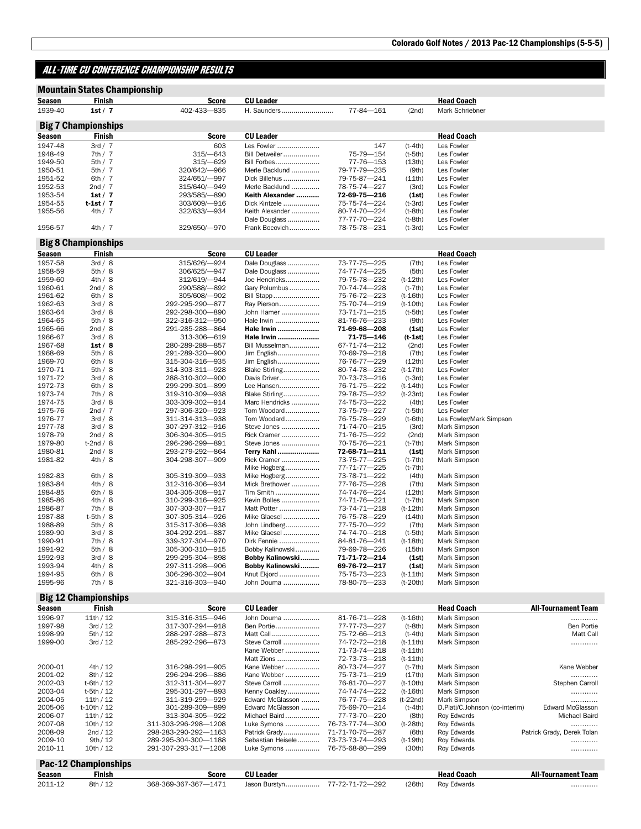## ALL-TIME CU CONFERENCE CHAMPIONSHIP RESULTS

|                    | <b>Mountain States Championship</b>         |                                    |                                 |                              |                          |                              |                            |
|--------------------|---------------------------------------------|------------------------------------|---------------------------------|------------------------------|--------------------------|------------------------------|----------------------------|
| Season             | Finish                                      | <b>Score</b>                       | <b>CU Leader</b>                |                              |                          | <b>Head Coach</b>            |                            |
| 1939-40            | 1st / 7                                     | 402-433-835                        | H. Saunders                     | 77-84-161                    | (2nd)                    | Mark Schriebner              |                            |
|                    |                                             |                                    |                                 |                              |                          |                              |                            |
|                    | <b>Big 7 Championships</b>                  |                                    |                                 |                              |                          |                              |                            |
| <b>Season</b>      | Finish                                      | <b>Score</b>                       | <b>CU Leader</b>                |                              |                          | <b>Head Coach</b>            |                            |
| 1947-48            | 3rd / 7                                     | 603                                | Les Fowler                      | 147                          | $(t-4th)$                | Les Fowler                   |                            |
| 1948-49            | 7th/7                                       | $315/-643$                         | Bill Detweiler                  | 75-79-154                    | $(t-5th)$                | Les Fowler                   |                            |
| 1949-50            | 5th/7                                       | $315 - 629$                        | Bill Forbes                     | 77-76-153                    | (13th)                   | Les Fowler                   |                            |
| 1950-51            | 5th/7                                       | 320/642/-966                       | Merle Backlund                  | 79-77-79—235                 | (9th)                    | Les Fowler                   |                            |
| 1951-52            | 6th $/7$                                    | 324/651/-997                       | Dick Billehus                   | 79-75-87—241                 | (11th)                   | Les Fowler                   |                            |
| 1952-53            | 2nd / 7                                     | 315/640/-949                       | Merle Backlund                  | 78-75-74-227                 | (3rd)                    | Les Fowler                   |                            |
| 1953-54            | 1st / 7                                     | 293/585/-890                       | Keith Alexander                 | 72-69-75-216                 | (1st)                    | Les Fowler                   |                            |
| 1954-55            | $t-1st/7$                                   | 303/609/-916                       | Dick Kintzele                   | 75-75-74-224                 | $(t-3rd)$                | Les Fowler                   |                            |
| 1955-56            | 4th/7                                       | 322/633/-934                       | Keith Alexander                 | 80-74-70-224                 | $(t-8th)$                | Les Fowler                   |                            |
| 1956-57            | 4th/7                                       | 329/650/-970                       | Dale Douglass<br>Frank Bocovich | 77-77-70-224<br>78-75-78-231 | $(t-8th)$<br>$(t-3rd)$   | Les Fowler<br>Les Fowler     |                            |
|                    |                                             |                                    |                                 |                              |                          |                              |                            |
| <b>Season</b>      | <b>Big 8 Championships</b><br><u>Finish</u> | Score                              | <b>CU Leader</b>                |                              |                          | <b>Head Coach</b>            |                            |
| 1957-58            | 3rd / 8                                     | 315/626/-924                       | Dale Douglass                   | 73-77-75-225                 | (7th)                    | Les Fowler                   |                            |
| 1958-59            | 5th/8                                       | 306/625/-947                       | Dale Douglass                   | 74-77-74-225                 | (5th)                    | Les Fowler                   |                            |
| 1959-60            | 4th/8                                       | 312/619/-944                       | Joe Hendricks                   | 79-75-78-232                 | $(t-12th)$               | Les Fowler                   |                            |
| 1960-61            | 2nd / 8                                     | 290/588/-892                       | Gary Polumbus                   | 70-74-74—228                 | (t-7th)                  | Les Fowler                   |                            |
| 1961-62            | 6th/8                                       | 305/608/-902                       | Bill Stapp                      | 75-76-72-223                 | $(t - 16th)$             | Les Fowler                   |                            |
| 1962-63            | 3rd / 8                                     | 292-295-290-877                    | Ray Pierson                     | 75-70-74-219                 | $(t-10th)$               | Les Fowler                   |                            |
| 1963-64            | 3rd / 8                                     | 292-298-300-890                    | John Hamer                      | 73-71-71-215                 | $(t-5th)$                | Les Fowler                   |                            |
| 1964-65            | 5th/8                                       | 322-316-312-950                    | Hale Irwin                      | 81-76-76-233                 | (9th)                    | Les Fowler                   |                            |
| 1965-66            | 2nd / 8                                     | 291-285-288-864                    | Hale Irwin                      | 71-69-68-208                 | (1st)                    | Les Fowler                   |                            |
| 1966-67            | 3rd / 8                                     | 313-306-619                        | Hale Irwin                      | 71-75-146                    | $(t-1st)$                | Les Fowler                   |                            |
| 1967-68            | 1st/8                                       | 280-289-288-857                    | Bill Musselman                  | 67-71-74-212                 | (2nd)                    | Les Fowler                   |                            |
| 1968-69            | 5th/8                                       | 291-289-320-900                    | Jim English                     | 70-69-79-218                 | (7th)                    | Les Fowler                   |                            |
| 1969-70            | 6th/8                                       | 315-304-316-935                    | Jim English                     | 76-76-77-229                 | (12th)                   | Les Fowler                   |                            |
| 1970-71            | 5th/8                                       | 314-303-311-928                    | Blake Stirling                  | 80-74-78-232                 | $(t - 17th)$             | Les Fowler                   |                            |
| 1971-72            | 3rd / 8                                     | 288-310-302-900                    | Davis Driver                    | 70-73-73—216                 | $(t-3rd)$                | Les Fowler                   |                            |
| 1972-73            | 6th/8                                       | 299-299-301-899                    | Lee Hansen                      | 76-71-75-222                 | $(t-14th)$               | Les Fowler                   |                            |
| 1973-74            | 7th/8                                       | 319-310-309-938                    | Blake Stirling                  | 79-78-75-232                 | $(t-23rd)$               | Les Fowler                   |                            |
| 1974-75            | 3rd / 8                                     | 303-309-302-914                    | Marc Hendricks                  | 74-75-73—222                 | (4th)                    | Les Fowler                   |                            |
| 1975-76            | 2nd $/7$                                    | 297-306-320-923                    | Tom Woodard                     | 73-75-79-227                 | $(t-5th)$                | Les Fowler                   |                            |
| 1976-77            | 3rd / 8                                     | 311-314-313-938                    | Tom Woodard                     | 76-75-78-229                 | $(t-6th)$                | Les Fowler/Mark Simpson      |                            |
| 1977-78<br>1978-79 | 3rd / 8<br>2nd / 8                          | 307-297-312-916<br>306-304-305-915 | Steve Jones<br>Rick Cramer      | 71-74-70-215<br>71-76-75-222 | (3rd)                    | Mark Simpson                 |                            |
| 1979-80            | $t-2nd / 8$                                 | 296-296-299-891                    | Steve Jones                     | 70-75-76-221                 | (2nd)<br>$(t-7th)$       | Mark Simpson<br>Mark Simpson |                            |
| 1980-81            | 2nd / 8                                     | 293-279-292-864                    | <b>Terry Kahl </b>              | 72-68-71-211                 | (1st)                    | Mark Simpson                 |                            |
| 1981-82            | 4th/8                                       | 304-298-307- 909                   | Rick Cramer                     | 73-75-77-225                 | $(t-7th)$                | Mark Simpson                 |                            |
|                    |                                             |                                    | Mike Hogberg                    | 77-71-77-225                 | $(t-7th)$                |                              |                            |
| 1982-83            | 6th/8                                       | 305-319-309-933                    | Mike Hogberg                    | 73-78-71-222                 | (4th)                    | Mark Simpson                 |                            |
| 1983-84            | 4th/8                                       | 312-316-306-934                    | Mick Brethower                  | 77-76-75-228                 | (7th)                    | Mark Simpson                 |                            |
| 1984-85            | 6th/8                                       | 304-305-308-917                    | Tim Smith                       | 74-74-76-224                 | (12th)                   | Mark Simpson                 |                            |
| 1985-86            | 4th/8                                       | 310-299-316-925                    | Kevin Bolles                    | 74-71-76—221                 | $(t-7th)$                | Mark Simpson                 |                            |
| 1986-87            | 7th/8                                       | 307-303-307-917                    | Matt Potter                     | 73-74-71-218                 | $(t-12th)$               | Mark Simpson                 |                            |
| 1987-88            | t-5th / 8                                   | 307-305-314-926                    | Mike Glaesel                    | 76-75-78-229                 | (14th)                   | Mark Simpson                 |                            |
| 1988-89            | 5th/8                                       | 315-317-306-938                    | John Lindberg                   | 77-75-70-222                 | (7th)                    | Mark Simpson                 |                            |
| 1989-90            | 3rd / 8                                     | 304-292-291—887                    | Mike Glaesel                    | 74-74-70-218                 | $(t-5th)$                | Mark Simpson                 |                            |
| 1990-91            | 7th/8                                       | 339-327-304-970                    | Dirk Fennie                     | 84-81-76-241                 | $(t-18th)$               | Mark Simpson                 |                            |
| 1991-92            | 5th/8                                       | 305-300-310-915                    | Bobby Kalinowski                | 79-69-78-226                 | (15th)                   | Mark Simpson                 |                            |
| 1992-93            | 3rd / 8                                     | 299-295-304-898                    | Bobby Kalinowski                | 71-71-72-214                 | (1st)                    | Mark Simpson                 |                            |
| 1993-94            | 4th/8                                       | 297-311-298-906                    | Bobby Kalinowski                | 69-76-72-217                 | (1st)                    | Mark Simpson                 |                            |
| 1994-95<br>1995-96 | 6th/8                                       | 306-296-302-904                    | Knut Ekjord                     | 75-75-73-223                 | $(t-11th)$               | Mark Simpson                 |                            |
|                    | 7th/8                                       | 321-316-303-940                    | John Douma                      | 78-80-75-233                 | $(t-20th)$               | Mark Simpson                 |                            |
|                    | <b>Big 12 Championships</b>                 |                                    |                                 |                              |                          |                              |                            |
| <b>Season</b>      | Finish                                      | <b>Score</b>                       | <b>CU Leader</b>                |                              |                          | <b>Head Coach</b>            | <b>All-Tournament Team</b> |
| 1996-97            | 11th/12                                     | 315-316-315-946                    | John Douma                      | 81-76-71-228                 | $(t-16th)$               | Mark Simpson                 | .                          |
| 1997-98            | 3rd / 12                                    | 317-307-294-918                    | Ben Portie                      | 77-77-73-227                 | (t-8th)                  | Mark Simpson                 | <b>Ben Portie</b>          |
| 1998-99            | 5th / 12                                    | 288-297-288-873                    | Matt Call                       | 75-72-66-213                 | $(t-4th)$                | Mark Simpson                 | Matt Call                  |
| 1999-00            | 3rd / 12                                    | 285-292-296-873                    | Steve Carroll<br>Kane Webber    | 74-72-72-218<br>71-73-74-218 | $(t-11th)$               | Mark Simpson                 | .                          |
|                    |                                             |                                    | Matt Zions                      | 72-73-73-218                 | $(t-11th)$<br>$(t-11th)$ |                              |                            |
| 2000-01            | 4th / 12                                    | 316-298-291-905                    | Kane Webber                     | 80-73-74-227                 | (t-7th)                  | Mark Simpson                 | Kane Webber                |
| 2001-02            | 8th / 12                                    | 296-294-296-886                    | Kane Webber                     | 75-73-71-219                 | (17th)                   | Mark Simpson                 | .                          |
| 2002-03            | t-6th / 12                                  | 312-311-304-927                    | Steve Carroll                   | 76-81-70-227                 | $(t-10th)$               | Mark Simpson                 | Stephen Carroll            |

|                            | Mark Simpson                   |
|----------------------------|--------------------------------|
| Stephen Carroll            | Mark Simpson                   |
|                            | Mark Simpson                   |
|                            | Mark Simpson                   |
| <b>Edward McGlasson</b>    | D.Plati/C.Johnson (co-interim) |
| Michael Baird              | Roy Edwards                    |
|                            | <b>Rov Edwards</b>             |
| Patrick Grady, Derek Tolan | Rov Edwards                    |
|                            | <b>Rov Edwards</b>             |
|                            | Rov Edwards                    |

### Pac-12 Championships Season Finish Score CU Leader Head Coach Head Coach All-Tournament Team<br>2011-12 8th / 12 368-369-367-367—1471 Jason Burstyn................. 77-72-71-72--292 (26th) Roy Edwards ........... 2011-12 8th / 12 368-369-367-367—1471 Jason Burstyn ................. 77-72-71-72—292 (26th) Roy Edwards …………

2010-11 10th / 12 291-307-293-317—1208 Luke Symons ................. 76-75-68-80—299 (30th) Roy Edwards …………

2002-03 t-6th / 12 312-311-304--927 Steve Carroll ...................... 76-81-70--227 (t-10th) 2003-04 t-5th / 12 295-301-297--893 Kenny Coakley.................... 74-74-74--222 (t-16th) 2003-04 t-5th / 12 295-301-297—893 Kenny Coakley ................... 74-74-74—222 (t-16th)<br>2004-05 11th / 12 311-319-299—929 Edward McGlasson ………. 76-77-75—228 (t-22nd) 2004-05 11th / 12 311-319-299—929 Edward McGlasson ......... 76-77-75—228 (t-22nd)<br>2005-06 t-10th / 12 301-289-309—899 Edward McGlasson ........ 75-69-70—214 (t-4th) 2005-06 t-10th / 12 301-289-309—899 Edward McGlasson ......... 75-69-70-214 (t-4th)<br>2006-07 11th / 12 313-304-305--922 Michael Baird .................. 77-73-70--220 (8th) 2006-07 11th / 12 313-304-305—922 Michael Baird ..................... 77-73-70—220 (8th)<br>2007-08 10th / 12 311-303-296-298—1208 Luke Symons .................. 76-73-77-74—300 (t-28th) 2007-08 10th / 12 311-303-296-298—1208 Luke Symons ................. 76-73-77-74—300 (t-28th) Roy Edwards ………… 2008-09 2nd / 12 298-283-290-292—1163 Patrick Grady ................... 71-71-70-75—287 (6th)<br>2009-10 9th / 12 289-295-304-300—1188 Sebastian Heisele ........... 73-73-73-74—293 (t-19th) 2009-10 9th / 12 289-295-304-300—1188 Sebastian Heisele ........... 73-73-73-74—293 (t-19th)<br>2010-11 10th / 12 291-307-293-317—1208 Luke Symons .................. 76-75-68-80—299 (30th)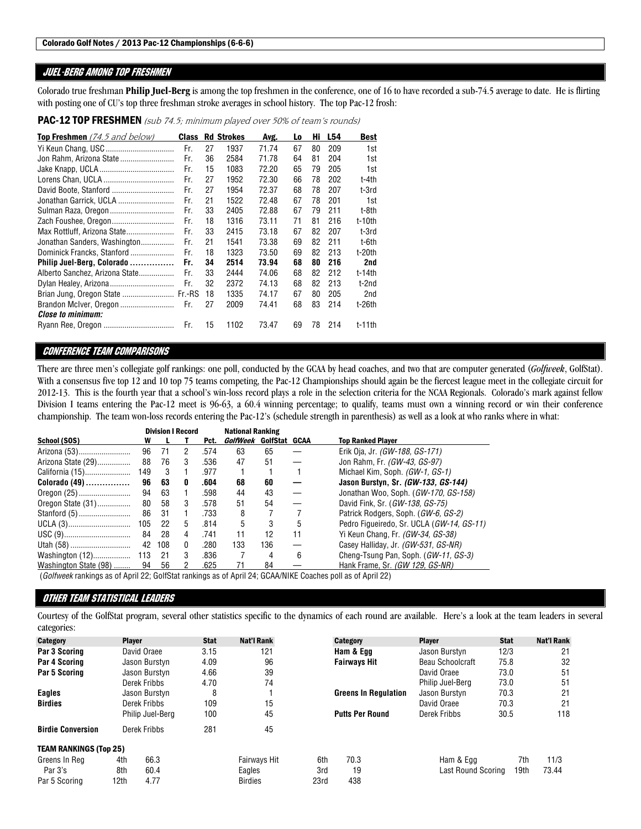## JUEL-BERG AMONG TOP FRESHMEN

Colorado true freshman **Philip Juel-Berg** is among the top freshmen in the conference, one of 16 to have recorded a sub-74.5 average to date. He is flirting with posting one of CU's top three freshman stroke averages in school history. The top Pac-12 frosh:

PAC-12 TOP FRESHMEN (sub 74.5; minimum played over 50% of team's rounds)

| <b>Top Freshmen</b> (74.5 and below) | <b>Class</b> |    | <b>Rd Strokes</b> | Avg.  | Lo | Hi | L54 | <b>Best</b> |
|--------------------------------------|--------------|----|-------------------|-------|----|----|-----|-------------|
|                                      | Fr.          | 27 | 1937              | 71 74 | 67 | 80 | 209 | 1st         |
|                                      | Fr.          | 36 | 2584              | 71.78 | 64 | 81 | 204 | 1st         |
|                                      | Fr.          | 15 | 1083              | 72.20 | 65 | 79 | 205 | 1st         |
|                                      | Fr.          | 27 | 1952              | 72.30 | 66 | 78 | 202 | t-4th       |
|                                      | Fr.          | 27 | 1954              | 72.37 | 68 | 78 | 207 | t-3rd       |
| Jonathan Garrick, UCLA               | Fr.          | 21 | 1522              | 72.48 | 67 | 78 | 201 | 1st         |
|                                      | Fr.          | 33 | 2405              | 72.88 | 67 | 79 | 211 | t-8th       |
|                                      | Fr.          | 18 | 1316              | 73.11 | 71 | 81 | 216 | $t-10th$    |
| Max Rottluff, Arizona State          | Fr.          | 33 | 2415              | 73.18 | 67 | 82 | 207 | t-3rd       |
| Jonathan Sanders, Washington         | Fr.          | 21 | 1541              | 73.38 | 69 | 82 | 211 | t-6th       |
| Dominick Francks, Stanford           | Fr           | 18 | 1323              | 73.50 | 69 | 82 | 213 | t-20th      |
| Philip Juel-Berg, Colorado           | Fr.          | 34 | 2514              | 73.94 | 68 | 80 | 216 | 2nd         |
| Alberto Sanchez, Arizona State       | Fr.          | 33 | 2444              | 74.06 | 68 | 82 | 212 | t-14th      |
|                                      | Fr.          | 32 | 2372              | 74.13 | 68 | 82 | 213 | t-2nd       |
| Brian Jung, Oregon State  Fr.-RS     |              | 18 | 1335              | 74.17 | 67 | 80 | 205 | 2nd         |
| Brandon McIver, Oregon               | Fr.          | 27 | 2009              | 74.41 | 68 | 83 | 214 | t-26th      |
| <i><b>Close to minimum:</b></i>      |              |    |                   |       |    |    |     |             |
|                                      | Fr.          | 15 | 1102              | 73.47 | 69 | 78 | 214 | $t-11$ th   |

## CONFERENCE TEAM COMPARISONS

There are three men's collegiate golf rankings: one poll, conducted by the GCAA by head coaches, and two that are computer generated (*Golfweek*, GolfStat). With a consensus five top 12 and 10 top 75 teams competing, the Pac-12 Championships should again be the fiercest league meet in the collegiate circuit for 2012-13. This is the fourth year that a school's win-loss record plays a role in the selection criteria for the NCAA Regionals. Colorado's mark against fellow Division I teams entering the Pac-12 meet is 96-63, a 60.4 winning percentage; to qualify, teams must own a winning record or win their conference championship. The team won-loss records entering the Pac-12's (schedule strength in parenthesis) as well as a look at who ranks where in what:

|                                                         |     |     | <b>Division I Record</b> |      | <b>National Ranking</b> |     |    |                                           |
|---------------------------------------------------------|-----|-----|--------------------------|------|-------------------------|-----|----|-------------------------------------------|
| School (SOS)                                            | w   |     |                          | Pct. | GolfWeek GolfStat GCAA  |     |    | <b>Top Ranked Plaver</b>                  |
| Arizona (53)                                            | 96  | 71  | $\overline{2}$           | .574 | 63                      | 65  |    | Erik Oja, Jr. <i>(GW-188, GS-171)</i>     |
| Arizona State (29)                                      | 88  | 76  | 3                        | .536 | 47                      | 51  |    | Jon Rahm, Fr. (GW-43, GS-97)              |
| California (15)                                         | 149 | - 3 |                          | .977 |                         |     |    | Michael Kim, Soph. (GW-1, GS-1)           |
| $\mathsf{Colorado}\ (49) \dots \dots \dots \dots \dots$ | 96  | 63  | 0                        | .604 | 68                      | 60  |    | Jason Burstyn, Sr. (GW-133, GS-144)       |
|                                                         | 94  | 63  |                          | .598 | 44                      | 43  | —  | Jonathan Woo, Soph. (GW-170, GS-158)      |
| Oregon State (31)                                       | 80  | 58  | 3                        | .578 | 51                      | 54  | —  | David Fink, Sr. ( <i>GW-138, GS-75</i> )  |
|                                                         | 86  | 31  |                          | .733 | 8                       |     |    | Patrick Rodgers, Soph. (GW-6, GS-2)       |
| UCLA (3)                                                | 105 | -22 | 5                        | .814 | 5                       | 3   | 5  | Pedro Figueiredo, Sr. UCLA (GW-14, GS-11) |
|                                                         | 84  | -28 | $\overline{4}$           | .741 | 11                      | 12  | 11 | Yi Keun Chang, Fr. <i>(GW-34, GS-38)</i>  |
|                                                         | 42  | 108 | 0                        | .280 | 133                     | 136 |    | Casey Halliday, Jr. (GW-531, GS-NR)       |
| Washington (12)                                         | 113 | -21 | 3                        | .836 | 7                       | 4   | 6  | Cheng-Tsung Pan, Soph. (GW-11, GS-3)      |
| Washington State (98)                                   | 94  | 56  |                          | .625 |                         | 84  |    | Hank Frame, Sr. <i>(GW 129, GS-NR)</i>    |

(*Golfweek* rankings as of April 22; GolfStat rankings as of April 24; GCAA/NIKE Coaches poll as of April 22)

## OTHER TEAM STATISTICAL LEADERS

Courtesy of the GolfStat program, several other statistics specific to the dynamics of each round are available. Here's a look at the team leaders in several categories:

| Category                      | <b>Player</b> |                  | <b>Stat</b> | <b>Nat'l Rank</b>   |      | Category                    | <b>Player</b>      | <b>Stat</b> | Nat'l Rank |
|-------------------------------|---------------|------------------|-------------|---------------------|------|-----------------------------|--------------------|-------------|------------|
| Par 3 Scoring                 |               | David Oraee      | 3.15        | 121                 |      | Ham & Egg                   | Jason Burstyn      | 12/3        | 21         |
| Par 4 Scoring                 |               | Jason Burstyn    | 4.09        | 96                  |      | <b>Fairways Hit</b>         | Beau Schoolcraft   | 75.8        | 32         |
| Par 5 Scoring                 |               | Jason Burstyn    | 4.66        | 39                  |      |                             | David Oraee        | 73.0        | 51         |
|                               |               | Derek Fribbs     | 4.70        | 74                  |      |                             | Philip Juel-Berg   | 73.0        | 51         |
| <b>Eagles</b>                 |               | Jason Burstyn    | 8           |                     |      | <b>Greens In Regulation</b> | Jason Burstyn      | 70.3        | 21         |
| <b>Birdies</b>                |               | Derek Fribbs     | 109         | 15                  |      |                             | David Oraee        | 70.3        | 21         |
|                               |               | Philip Juel-Berg | 100         | 45                  |      | <b>Putts Per Round</b>      | Derek Fribbs       | 30.5        | 118        |
| <b>Birdie Conversion</b>      |               | Derek Fribbs     | 281         | 45                  |      |                             |                    |             |            |
| <b>TEAM RANKINGS (Top 25)</b> |               |                  |             |                     |      |                             |                    |             |            |
| Greens In Rea                 | 4th           | 66.3             |             | <b>Fairways Hit</b> | 6th  | 70.3                        | Ham & Egg          | 7th         | 11/3       |
| Par 3's                       | 8th           | 60.4             |             | Eagles              | 3rd  | 19                          | Last Round Scoring | 19th        | 73.44      |
| Par 5 Scoring                 | 12th          | 4.77             |             | <b>Birdies</b>      | 23rd | 438                         |                    |             |            |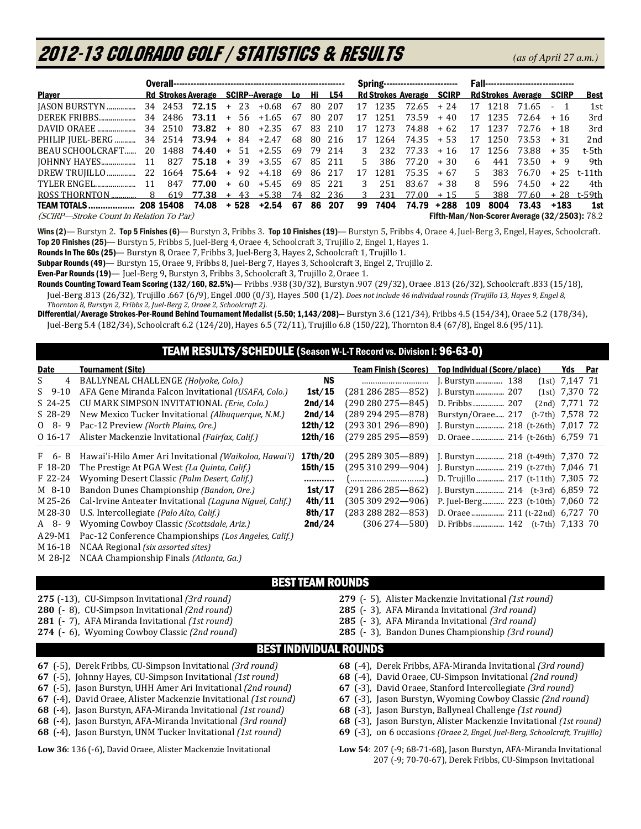# 2012-13 COLORADO GOLF / Statistics & Results*(as of April 27 a.m.)*

| <b>Player</b>                                                           |       |           | Rd Strokes Average SCIRP--Average Lo Hi L54     |  |  |                 |  |  |        |     |         |                    |       |       |         | Rd Strokes Average SCIRP Rd Strokes Average SCIRP |         | Best         |
|-------------------------------------------------------------------------|-------|-----------|-------------------------------------------------|--|--|-----------------|--|--|--------|-----|---------|--------------------|-------|-------|---------|---------------------------------------------------|---------|--------------|
|                                                                         |       |           |                                                 |  |  | +0.68 67 80 207 |  |  |        |     |         | 17 1235 72.65 + 24 |       |       |         | 17 1218 71.65 - 1                                 |         | 1st          |
| DEREK FRIBBS                                                            |       |           | $34\ \ 2486\ \ 73.11\ \ +\ \ 56\ \ +1.65\ \ 67$ |  |  |                 |  |  | 80 207 |     |         | 17 1251 73.59      | + 40  |       |         | $17$ 1235 72.64 + 16                              |         | 3rd          |
|                                                                         |       |           |                                                 |  |  |                 |  |  | 83 210 |     | 17 1273 | 74.88              | + 62  |       | 17 1237 | 72.76 + 18                                        |         | 3rd          |
| PHILIP JUEL-BERG  34 2514 73.94 + 84 +2.47 68 80 216 17 1264 74.35 + 53 |       |           |                                                 |  |  |                 |  |  |        |     |         |                    |       |       | 17 1250 | $73.53 + 31$                                      |         | 2nd          |
| BEAU SCHOOLCRAFT 20 1488 74.40 + 51 +2.55 69 79 214 3                   |       |           |                                                 |  |  |                 |  |  |        |     |         | 232 77.33          | + 16  | 17    |         | 1256 73.88                                        | $+35$   | t-5th        |
|                                                                         |       |           |                                                 |  |  |                 |  |  |        | .5. | 386     | 77.20              | $+30$ | 6     |         | 441 73.50                                         | + 9     | 9th          |
|                                                                         |       |           |                                                 |  |  |                 |  |  |        | 17  | 1281    | 75.35              | $+67$ | $5 -$ |         | 383 76.70                                         |         | $+25$ t-11th |
|                                                                         | $-11$ |           | 847 77.00 + 60 +5.45 69 85 221                  |  |  |                 |  |  |        | 3   | 251     | 83.67              | + 38  | 8     |         | 596 74.50                                         | $+ 22.$ | 4th          |
|                                                                         |       |           |                                                 |  |  |                 |  |  |        | 3   | 231     | 77.00              | $+15$ | -5.   |         | 388 77.60                                         |         | + 28 t-59th  |
| <b>TEAM TOTALS</b>                                                      |       | 208 15408 | 74.08 + 528 +2.54 67 86 207                     |  |  |                 |  |  |        | 99  | 7404    | 74.79              | +288  | 109   | 8004    | 73.43                                             |         | 1st          |

(SCIRP—Stroke Count In Relation To Par) Fifth-Man/Non-Scorer Average (32/2503): 78.2

Wins (2)—Burstyn 2. Top 5 Finishes (6)—Burstyn 3, Fribbs 3. Top 10 Finishes (19)—Burstyn 5, Fribbs 4, Oraee 4, Juel-Berg 3, Engel, Hayes, Schoolcraft. Top 20 Finishes (25)— Burstyn 5, Fribbs 5, Juel-Berg 4, Oraee 4, Schoolcraft 3, Trujillo 2, Engel 1, Hayes 1.

Rounds In The 60s (25)— Burstyn 8, Oraee 7, Fribbs 3, Juel-Berg 3, Hayes 2, Schoolcraft 1, Trujillo 1.

Subpar Rounds (49)— Burstyn 15, Oraee 9, Fribbs 8, Juel-Berg 7, Hayes 3, Schoolcraft 3, Engel 2, Trujillo 2.

Even-Par Rounds (19)— Juel-Berg 9, Burstyn 3, Fribbs 3, Schoolcraft 3, Trujillo 2, Oraee 1.

Rounds Counting Toward Team Scoring (132/160, 82.5%)— Fribbs .938 (30/32), Burstyn .907 (29/32), Oraee .813 (26/32), Schoolcraft .833 (15/18), Juel-Berg .813 (26/32), Trujillo .667 (6/9), Engel .000 (0/3), Hayes .500 (1/2). *Does not include 46 individual rounds (Trujillo 13, Hayes 9, Engel 8,* 

 *Thornton 8, Burstyn 2, Fribbs 2, Juel-Berg 2, Oraee 2, Schoolcraft 2).*  Differential/Average Strokes-Per-Round Behind Tournament Medalist (5.50; 1,143/208)— Burstyn 3.6 (121/34), Fribbs 4.5 (154/34), Oraee 5.2 (178/34),

Juel-Berg 5.4 (182/34), Schoolcraft 6.2 (124/20), Hayes 6.5 (72/11), Trujillo 6.8 (150/22), Thornton 8.4 (67/8), Engel 8.6 (95/11).

## TEAM RESULTS/SCHEDULE (Season W-L-T Record vs. Division I: 96-63-0)

| Date      | <b>Tournament (Site)</b>                                        |         | <b>Team Finish (Scores)</b> | Top Individual (Score/place)       |                    |                  |  |  |
|-----------|-----------------------------------------------------------------|---------|-----------------------------|------------------------------------|--------------------|------------------|--|--|
| 4<br>S.   | BALLYNEAL CHALLENGE (Holyoke, Colo.)                            | NS.     |                             |                                    |                    | $(1st)$ 7,147 71 |  |  |
| $S$ 9-10  | AFA Gene Miranda Falcon Invitational (USAFA, Colo.)             | 1st/15  | $(281\,286\,285 - 852)$     |                                    |                    | $(1st)$ 7,370 72 |  |  |
| $S$ 24-25 | CU MARK SIMPSON INVITATIONAL (Erie, Colo.)                      | 2nd/14  | $(290\,280\,275 - 845)$     |                                    |                    | $(2nd)$ 7,771 72 |  |  |
| $S$ 28-29 | New Mexico Tucker Invitational (Albuguergue, N.M.)              | 2nd/14  | $(289 294 295 - 878)$       | Burstyn/Oraee 217                  | $(t-7th)$ 7,578 72 |                  |  |  |
| $08 - 9$  | Pac-12 Preview (North Plains, Ore.)                             | 12th/12 | $(293301296 - 890)$         |                                    |                    |                  |  |  |
| 0 16-17   | Alister Mackenzie Invitational (Fairfax, Calif.)                | 12th/16 | $(279 285 295 - 859)$       |                                    |                    |                  |  |  |
| F 6-8     | Hawai'i-Hilo Amer Ari Invitational (Waikoloa, Hawai'i)          | 17th/20 | $(295 289 305 - 889)$       |                                    |                    |                  |  |  |
| $F$ 18-20 | The Prestige At PGA West (La Quinta, Calif.)                    | 15th/15 | $(295310299 - 904)$         |                                    |                    |                  |  |  |
| $F$ 22-24 | Wyoming Desert Classic (Palm Desert, Calif.)                    |         |                             | D. Trujillo  217 (t-11th) 7,305 72 |                    |                  |  |  |
| M 8-10    | Bandon Dunes Championship (Bandon, Ore.)                        | 1st/17  | $(291\,286\,285 - 862)$     |                                    |                    |                  |  |  |
| M 25-26   | Cal-Irvine Anteater Invitational <i>(Laguna Niguel, Calif.)</i> | 4th/11  | $(305309292 - 906)$         | P. Juel-Berg 223 (t-10th) 7,060 72 |                    |                  |  |  |
| M 28-30   | U.S. Intercollegiate (Palo Alto, Calif.)                        | 8th/17  | $(283 288 282 - 853)$       |                                    |                    |                  |  |  |
| A 8-9     | Wyoming Cowboy Classic (Scottsdale, Ariz.)                      | 2nd/24  | $(306274 - 580)$            | D. Fribbs  142 (t-7th) 7,133 70    |                    |                  |  |  |
|           |                                                                 |         |                             |                                    |                    |                  |  |  |

A 29-M1 Pac-12 Conference Championships *(Los Angeles, Calif.)* 

M 16-18 NCAA Regional *(six assorted sites)* 

 $\overline{a}$ 

M 28-J2 NCAA Championship Finals *(Atlanta, Ga.)*

(-13), CU-Simpson Invitational *(3rd round)*  (- 8), CU-Simpson Invitational *(2nd round)*  (- 7), AFA Miranda Invitational *(1st round)*  (- 6), Wyoming Cowboy Classic *(2nd round)* 

## BEST TEAM ROUNDS

**279** (- 5), Alister Mackenzie Invitational *(1st round)* 

**285** (- 3), AFA Miranda Invitational *(3rd round)* 

- **285** (- 3), AFA Miranda Invitational *(3rd round)*
- **285** (- 3), Bandon Dunes Championship *(3rd round)*

## BEST INDIVIDUAL ROUNDS

- **67** (-5), Derek Fribbs, CU-Simpson Invitational *(3rd round)*
- **67** (-5), Johnny Hayes, CU-Simpson Invitational *(1st round)*
- **67** (-5), Jason Burstyn, UHH Amer Ari Invitational *(2nd round)*
- **67** (-4), David Oraee, Alister Mackenzie Invitational *(1st round)*
- **68** (-4), Jason Burstyn, AFA-Miranda Invitational *(1st round)*
- **68** (-4), Jason Burstyn, AFA-Miranda Invitational *(3rd round)*
- **68** (-4), Jason Burstyn, UNM Tucker Invitational *(1st round)*

- **68** (-4), Derek Fribbs, AFA-Miranda Invitational *(3rd round)*
- **68** (-4), David Oraee, CU-Simpson Invitational *(2nd round)*
- **67** (-3), David Oraee, Stanford Intercollegiate *(3rd round)*
- **67** (-3), Jason Burstyn, Wyoming Cowboy Classic *(2nd round)*
- **68** (-3), Jason Burstyn, Ballyneal Challenge *(1st round)*
- **68** (-3), Jason Burstyn, Alister Mackenzie Invitational *(1st round)*
- **69** (-3), on 6 occasions *(Oraee 2, Engel, Juel-Berg, Schoolcraft, Trujillo)*

**Low 36**: 136 (-6), David Oraee, Alister Mackenzie Invitational **Low 54**: 207 (-9; 68-71-68), Jason Burstyn, AFA-Miranda Invitational 207 (-9; 70-70-67), Derek Fribbs, CU-Simpson Invitational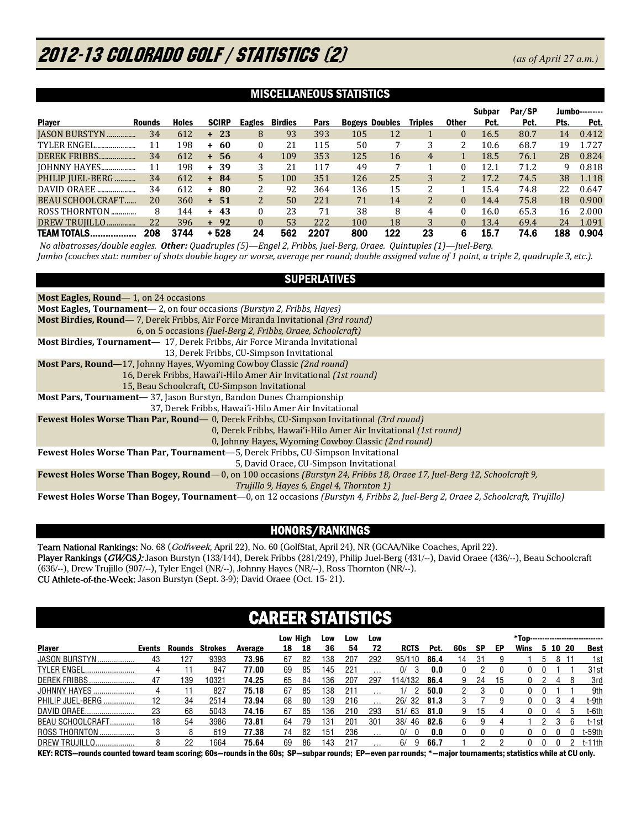# 2012-13 COLORADO GOLF / STATISTICS (2) *(as of April 27 a.m.)*

## MISCELLANEOUS STATISTICS

|                      |               |              |              |          |                |      |     |                       |                |                | Subpar | Par/SP |      | Jumbo--------- |
|----------------------|---------------|--------------|--------------|----------|----------------|------|-----|-----------------------|----------------|----------------|--------|--------|------|----------------|
| <b>Plaver</b>        | <b>Rounds</b> | <b>Holes</b> | <b>SCIRP</b> | Eagles   | <b>Birdies</b> | Pars |     | <b>Bogeys Doubles</b> | <b>Triples</b> | <b>Other</b>   | Pct.   | Pct.   | Pts. | Pct.           |
| <b>IASON BURSTYN</b> | 34            | 612          | $+23$        | 8        | 93             | 393  | 105 | 12                    |                | $\mathbf{0}$   | 16.5   | 80.7   | 14   | 0.412          |
| TYLER ENGEL          | 11            | 198          | $+ 60$       | 0        | 21             | 115  | 50  |                       | 3              | 2              | 10.6   | 68.7   | 19   | 1.727          |
| DEREK FRIBBS         | 34            | 612          | -56<br>$+$   | 4        | 109            | 353  | 125 | 16                    | 4              |                | 18.5   | 76.1   | 28   | 0.824          |
| <b>JOHNNY HAYES</b>  | 11            | 198          | $+39$        | 3        | 21             | 117  | 49  |                       |                | 0              | 12.1   | 71.2   | 9    | 0.818          |
| PHILIP JUEL-BERG     | 34            | 612          | $+ 84$       | 5        | 100            | 351  | 126 | 25                    | 3              | 2 <sub>1</sub> | 17.2   | 74.5   | 38   | 1.118          |
| DAVID ORAEE          | 34            | 612          | $+ 80$       | 2        | 92             | 364  | 136 | 15                    | 2              |                | 15.4   | 74.8   | 22   | 0.647          |
| BEAU SCHOOLCRAFT     | 20            | 360          | $+ 51$       | 2        | 50             | 221  | 71  | 14                    | $\overline{2}$ | $\Omega$       | 14.4   | 75.8   | 18   | 0.900          |
| ROSS THORNTON        | 8             | 144          | $+43$        | 0        | 23             | 71   | 38  | 8                     | 4              | 0              | 16.0   | 65.3   | 16   | 2.000          |
| DREW TRUJILLO        | 22            | 396          | $+92$        | $\Omega$ | 53             | 222  | 100 | 18                    | 3              |                | 13.4   | 69.4   | 24   | 1.091          |
| <b>TEAM TOTALS</b>   | 208           | 3744         | $+528$       | 24       | 562            | 2207 | 800 | 122                   | 23             | 6              | 15.7   | 74.6   | 188  | 0.904          |

 *No albatrosses/double eagles. Other: Quadruples (5)—Engel 2, Fribbs, Juel-Berg, Oraee. Quintuples (1)—Juel-Berg. Jumbo (coaches stat: number of shots double bogey or worse, average per round; double assigned value of 1 point, a triple 2, quadruple 3, etc.).* 

## SUPERLATIVES

| Most Eagles, Round—1, on 24 occasions                                                                                                   |
|-----------------------------------------------------------------------------------------------------------------------------------------|
| <b>Most Eagles, Tournament</b> — 2, on four occasions (Burstyn 2, Fribbs, Hayes)                                                        |
| <b>Most Birdies, Round</b> —7, Derek Fribbs, Air Force Miranda Invitational (3rd round)                                                 |
| 6, on 5 occasions (Juel-Berg 2, Fribbs, Oraee, Schoolcraft)                                                                             |
| <b>Most Birdies, Tournament</b> — 17, Derek Fribbs, Air Force Miranda Invitational                                                      |
| 13. Derek Fribbs, CU-Simpson Invitational                                                                                               |
| <b>Most Pars, Round</b> —17, Johnny Hayes, Wyoming Cowboy Classic (2nd round)                                                           |
| 16, Derek Fribbs, Hawai'i-Hilo Amer Air Invitational (1st round)                                                                        |
| 15, Beau Schoolcraft, CU-Simpson Invitational                                                                                           |
| Most Pars, Tournament-37, Jason Burstyn, Bandon Dunes Championship                                                                      |
| 37, Derek Fribbs, Hawai'i-Hilo Amer Air Invitational                                                                                    |
| <b>Fewest Holes Worse Than Par, Round</b> — 0, Derek Fribbs, CU-Simpson Invitational (3rd round)                                        |
| 0, Derek Fribbs, Hawai'i-Hilo Amer Air Invitational <i>(1st round)</i>                                                                  |
| 0, Johnny Hayes, Wyoming Cowboy Classic (2nd round)                                                                                     |
| Fewest Holes Worse Than Par, Tournament-5, Derek Fribbs, CU-Simpson Invitational                                                        |
| 5, David Oraee, CU-Simpson Invitational                                                                                                 |
| Fewest Holes Worse Than Bogey, Round—0, on 100 occasions (Burstyn 24, Fribbs 18, Oraee 17, Juel-Berg 12, Schoolcraft 9,                 |
| Trujillo 9, Hayes 6, Engel 4, Thornton 1)                                                                                               |
| <b>Fewest Holes Worse Than Bogey, Tournament</b> —0, on 12 occasions (Burstyn 4, Fribbs 2, Juel-Berg 2, Oraee 2, Schoolcraft, Trujillo) |

## HONORS/RANKINGS

Team National Rankings: No. 68 (Golfweek, April 22), No. 60 (GolfStat, April 24), NR (GCAA/Nike Coaches, April 22). Player Rankings (GW/GS): Jason Burstyn (133/144), Derek Fribbs (281/249), Philip Juel-Berg (431/--), David Oraee (436/--), Beau Schoolcraft (636/--), Drew Trujillo (907/--), Tyler Engel (NR/--), Johnny Hayes (NR/--), Ross Thornton (NR/--). CU Athlete-of-the-Week: Jason Burstyn (Sept. 3-9); David Oraee (Oct. 15- 21).

## CAREER STATISTICS

|                       |        |        |         |         | Low High |     | Low | Low    | Low |             |      |     |           |    |      |      |     | *Top------------------------------- |
|-----------------------|--------|--------|---------|---------|----------|-----|-----|--------|-----|-------------|------|-----|-----------|----|------|------|-----|-------------------------------------|
| <b>Player</b>         | Events | Rounds | Strokes | Average | 18       | 18  | 36  | 54     |     | <b>RCTS</b> | Pct. | 60s | <b>SP</b> | EP | Wins | 5 10 | -20 | <b>Best</b>                         |
| JASON BURSTYN         | -43    | 127    | 9393    | 73.96   | 67       | -82 | 138 | 207    | 292 | 95/110      | 86.4 | 14  | -31       |    |      | 8    |     | 1st                                 |
| <b>TYLER ENGEL</b>    |        |        | 847     | 77.00   | 69       | 85  | 145 | 221    |     | 0/          | 0.0  |     |           |    |      |      |     | 31st                                |
| <b>DEREK FRIBBS</b>   | 47     | 139    | 10321   | 74.25   | 65       | -84 | 136 | 207    | 297 | 114/132     | 86.4 | 9   | 24        | 15 |      |      |     | 3rd                                 |
| JOHNNY HAYES          |        |        | 827     | 75.18   | 67       | 85  | 138 | 211    |     |             | 50.0 |     |           |    |      |      |     | 9th                                 |
| PHILIP JUEL-BERG.     | 12     | 34     | 2514    | 73.94   | 68       | 80  | 139 | 216    |     | 26/32       | 81.3 |     |           |    |      |      | 4   | t-9th                               |
| DAVID ORAEE.          | 23     | 68     | 5043    | 74.16   | 67       | 85  | 136 | 210    | 293 | 51/63       | 81.0 | 9   | 15        |    |      |      |     | t-6th                               |
| BEAU SCHOOLCRAFT      | 18     | 54     | 3986    | 73.81   | 64       | 79  | 131 | $20 -$ | 301 | 38/<br>-46  | 82.6 | 6.  |           |    |      |      |     | t-1st                               |
| <b>ROSS THORNTON.</b> |        |        | 619     | 77.38   | 74       | 82  | 151 | 236    |     | 0/          | 0.0  |     |           |    |      |      |     | t-59th                              |
| <b>DREW TRUJILLO</b>  |        | 22     | 1664    | 75.64   | 69       | 86  | 143 | 217    |     | 6/<br>9     | 66.7 |     |           |    |      |      |     | $t-11th$                            |

KEY: RCTS—rounds counted toward team scoring; 60s—rounds in the 60s; SP—subpar rounds; EP—even par rounds; \*—major tournaments; statistics while at CU only.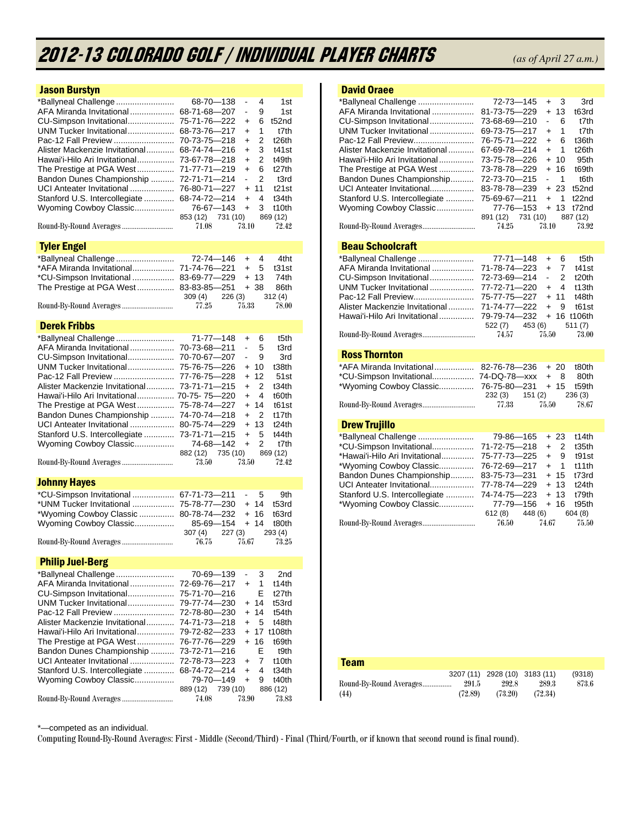# 2012-13 COLORADO GOLF / Individual Player Charts *(as of April 27 a.m.)*

| <b>Jason Burstyn</b>           |                                                      |
|--------------------------------|------------------------------------------------------|
| *Ballyneal Challenge           | 68-70-138<br>$\overline{a}$<br>4<br>1st              |
| AFA Miranda Invitational       | 68-71-68-207<br>9<br>1st<br>-                        |
| CU-Simpson Invitational        | 75-71-76-222<br>6<br>t52nd<br>$\ddot{}$              |
| UNM Tucker Invitational        | 68-73-76-217<br>1<br>t7th<br>$+$                     |
| Pac-12 Fall Preview            | $\overline{2}$<br>70-73-75-218<br>t26th<br>$+$       |
| Alister Mackenzie Invitational | 68-74-74-216<br>3<br>$\ddot{}$<br>t41st              |
| Hawai'i-Hilo Ari Invitational  | 73-67-78-218<br>2<br>$\ddot{}$<br>t49th              |
| The Prestige at PGA West       | 71-77-71-219<br>$\ddot{}$<br>6<br>t <sub>27</sub> th |
| Bandon Dunes Championship      | 72-71-71-214<br>2<br>t3rd<br>÷,                      |
| UCI Anteater Invitational      | 76-80-71-227<br>$\ddot{}$<br>11<br>t21st             |
| Stanford U.S. Intercollegiate  | 68-74-72-214<br>$\ddot{}$<br>4<br>t34th              |
| Wyoming Cowboy Classic         | 76-67-143<br>3<br>$\ddot{}$<br>t10th                 |
|                                | 853 (12)<br>731 (10)<br>869 (12)                     |
|                                | 71.08<br>73.10<br>72.42                              |
|                                |                                                      |
| <b>Tyler Engel</b>             |                                                      |
| *Ballyneal Challenge           | 72-74—146<br>4<br>$\ddot{}$<br>4tht                  |
| *AFA Miranda Invitational      | 71-74-76-221<br>$\ddot{}$<br>5<br>t31st              |
| *CU-Simpson Invitational       | 83-69-77-229<br>$\ddot{}$<br>13<br>74th              |
| The Prestige at PGA West       | 83-83-85-251<br>+ 38<br>86th                         |
|                                | $309(4)$ 226 (3)<br>312 (4)                          |
| Round-By-Round Averages        | 77.25<br>75.33<br>78.00                              |
| <b>Derek Fribbs</b>            |                                                      |
| *Ballyneal Challenge           | 71-77-148<br>t5th<br>6<br>$\ddot{}$                  |
| AFA Miranda Invitational       | 70-73-68-211<br>5<br>÷,<br>t3rd                      |
| CU-Simpson Invitational        | 70-70-67-207<br>$\blacksquare$<br>9<br>3rd           |
| UNM Tucker Invitational        | 10<br>75-76-75-226<br>t38th<br>$\ddot{}$             |
| Pac-12 Fall Preview            | 77-76-75-228<br>12<br>$\ddot{}$<br>51 <sub>st</sub>  |
| Alister Mackenzie Invitational | 73-71-71-215<br>2<br>t34th<br>$\ddot{}$              |
| Hawai'i-Hilo Ari Invitational  | 70-75-75-220<br>t60th<br>$\ddot{}$<br>4              |
| The Prestige at PGA West       | 75-78-74-227<br>t61st<br>$\ddot{}$<br>14             |
| Bandon Dunes Championship      | 74-70-74-218<br>2<br>t17th<br>$\ddot{}$              |
| UCI Anteater Invitational      | 80-75-74-229<br>13<br>$+$<br>t24th                   |
| Stanford U.S. Intercollegiate  | 73-71-71-215<br>5<br>$\ddot{}$<br>t44th              |
| Wyoming Cowboy Classic         | 2<br>74-68-142<br>$\ddot{}$<br>t7th                  |
|                                | 735 (10)<br>869 (12)<br>882 (12)                     |
| Round-By-Round Averages        | 73.50<br>72.42<br>73.50                              |
|                                |                                                      |
| <b>Johnny Hayes</b>            |                                                      |
| *CU-Simpson Invitational       | $67 - 71 - 73 - 211$<br>5<br>9th<br>$\sim$           |
| *UNM Tucker Invitational       | 75-78-77-230<br>14<br>t53rd<br>$\ddot{}$             |
| *Wyoming Cowboy Classic        | 80-78-74-232<br>$+ 16$<br>t63rd                      |
| Wyoming Cowboy Classic         | 85-69-154<br>$+ 14$<br>t80th                         |
|                                | 307 (4)<br>227(3)<br>293 (4)                         |
|                                | 76.75<br>75.67<br>73.25                              |
| <b>Philip Juel-Berg</b>        |                                                      |
| *Ballyneal Challenge           | 3<br>2nd<br>70-69—139                                |
| AFA Miranda Invitational       | 72-69-76-217<br>1<br>t14th<br>$\ddot{}$              |
| CU-Simpson Invitational        | 75-71-70-216<br>Е<br>t27th                           |
| UNM Tucker Invitational        | 79-77-74-230<br>14<br>t53rd<br>$\ddot{}$             |
| Pac-12 Fall Preview            | 72-78-80—230<br>14<br>t54th<br>$\ddot{}$             |
| Alister Mackenzie Invitational | 5<br>74-71-73-218<br>$\ddot{}$<br>t48th              |
| Hawai'i-Hilo Ari Invitational  | 79-72-82-233<br>$\ddot{}$<br>17<br>t108th            |
| The Prestige at PGA West       | 76-77-76-229<br>$\ddot{}$<br>16<br>t69th             |
| Bandon Dunes Championship      | 73-72-71-216<br>E<br>t9th                            |
| UCI Anteater Invitational      | 72-78-73-223<br>7<br>t10th<br>$\ddot{}$              |
| Stanford U.S. Intercollegiate  | 68-74-72-214<br>$\ddot{}$<br>4<br>t34th              |
| Wyoming Cowboy Classic         | 79-70-149<br>$\ddot{}$<br>9<br>t40th                 |
|                                | 889 (12)<br>739 (10)<br>886 (12)                     |
|                                |                                                      |

## David Oraee

| *Ballyneal Challenge           | 72-73-145            | $+3$  |                | 3rd               |
|--------------------------------|----------------------|-------|----------------|-------------------|
| AFA Miranda Invitational       | 81-73-75-229         | $+13$ |                | t63rd             |
| CU-Simpson Invitational        | 73-68-69-210         | - 6   |                | t7th              |
| UNM Tucker Invitational        | 69-73-75-217         | $+$ 1 |                | t7th              |
| Pac-12 Fall Preview            | 76-75-71-222         | + 6   |                | t36th             |
| Alister Mackenzie Invitational | 67-69-78-214         | $+$ 1 |                | t26th             |
| Hawai'i-Hilo Ari Invitational  | 73-75-78-226         | $+10$ |                | 95 <sub>th</sub>  |
| The Prestige at PGA West       | 73-78-78-229         | $+16$ |                | t69th             |
| Bandon Dunes Championship      | 72-73-70-215         | $-1$  |                | t6th              |
| UCI Anteater Invitational      | 83-78-78-239         | $+23$ |                | t52nd             |
| Stanford U.S. Intercollegiate  | 75-69-67-211         | $+$   | $\overline{1}$ | 122n <sub>d</sub> |
| Wyoming Cowboy Classic         | 77-76-153            |       |                | + 13 t72nd        |
|                                | 731 (10)<br>891 (12) |       |                | 887 (12)          |
|                                | 74.25                | 73.10 |                | 73.92             |
|                                |                      |       |                |                   |

## Beau Schoolcraft

|                                                                                                                            |                            |  | t5th  |
|----------------------------------------------------------------------------------------------------------------------------|----------------------------|--|-------|
| AFA Miranda Invitational  71-78-74-223 + 7                                                                                 |                            |  | t41st |
|                                                                                                                            |                            |  | t20th |
|                                                                                                                            |                            |  | t13th |
| Pac-12 Fall Preview                                                                                                        | 75-77-75-227 + 11 t48th    |  |       |
| Alister Mackenzie Invitational                                                                                             | $71-74-77-222 + 9$         |  | t61st |
| Hawai'i-Hilo Ari Invitational  79-79-74-232 + 16 t106th                                                                    |                            |  |       |
|                                                                                                                            | $522(7)$ $453(6)$ $511(7)$ |  |       |
|                                                                                                                            |                            |  | 73.00 |
|                                                                                                                            |                            |  |       |
| <b>Dealer The continue of the Continue of the Continue of the Continue of the Continue of the Continue of the Continue</b> |                            |  |       |

### Ross Thornton

| *AFA Miranda Invitational 82-76-78-236 + 20 t80th |                         |       |        |  |
|---------------------------------------------------|-------------------------|-------|--------|--|
|                                                   |                         |       |        |  |
| *Wyoming Cowboy Classic 76-75-80-231 + 15 t59th   |                         |       |        |  |
|                                                   | 232 (3) 151 (2) 236 (3) |       |        |  |
| Round-By-Round Averages                           | 77.33                   | 75.50 | -78.67 |  |

### Drew Trujillo

| *Ballyneal Challenge           | 79-86-165                  | $+23$                 | t14th              |
|--------------------------------|----------------------------|-----------------------|--------------------|
| *CU-Simpson Invitational       | 71-72-75-218               | $\overline{2}$<br>$+$ | t <sub>35</sub> th |
| *Hawai'i-Hilo Ari Invitational | 75-77-73-225               | + 9                   | t91st              |
| *Wyoming Cowboy Classic        | 76-72-69-217               | $+$ 1                 | t11th              |
| Bandon Dunes Championship      | 83-75-73-231               | $+15$                 | t73rd              |
| UCI Anteater Invitational      | 77-78-74-229               | $+13$                 | t24th              |
| Stanford U.S. Intercollegiate  | 74-74-75-223               | $+13$                 | t79th              |
| *Wyoming Cowboy Classic        | 77-79-156                  | $+ 16$                | t95th              |
|                                | $612(8)$ $448(6)$ $604(8)$ |                       |                    |
|                                | 76.50                      | 74.67                 | 75.50              |

| <b>Team</b>             |         |                               |         |        |
|-------------------------|---------|-------------------------------|---------|--------|
|                         |         | 3207 (11) 2928 (10) 3183 (11) |         | (9318) |
| Round-By-Round Averages | 291.5   | 292.8                         | 289.3   | 873.6  |
| (44)                    | (72.89) | (73.20)                       | (72.34) |        |

\*—competed as an individual.

Computing Round-By-Round Averages: First - Middle (Second/Third) - Final (Third/Fourth, or if known that second round is final round).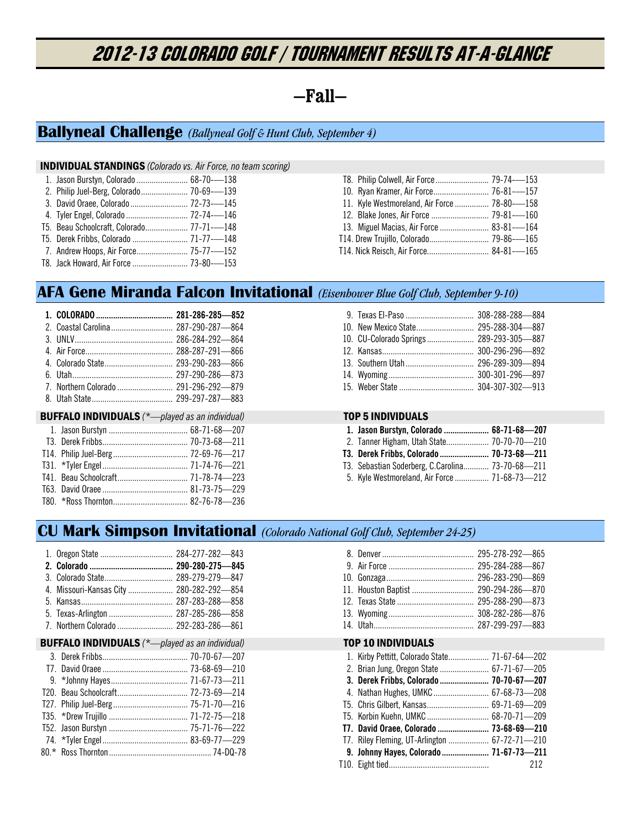# 2012-13 COLORADO GOLF / Tournament Results At-A-Glance

## **—Fall—**

## **Ballyneal Challenge** *(Ballyneal Golf & Hunt Club, September 4)*

### INDIVIDUAL STANDINGS *(Colorado vs. Air Force, no team scoring)*

|  | 1. Jason Burstyn, Colorado  68-70--138    |  |  |
|--|-------------------------------------------|--|--|
|  | 2. Philip Juel-Berg, Colorado 70-69---139 |  |  |
|  |                                           |  |  |
|  |                                           |  |  |

| 4. Tyler Engel, Colorado  72-74--146      |  |
|-------------------------------------------|--|
| T5. Beau Schoolcraft, Colorado 77-71--148 |  |

- 
- T5. Derek Fribbs, Colorado .......................... 71-77-—148
- 7. Andrew Hoops, Air Force ........................ 75-77-—152 T8. Jack Howard, Air Force .......................... 73-80-—153

| T8. Philip Colwell, Air Force 79-74--153     |  |
|----------------------------------------------|--|
|                                              |  |
| 11. Kyle Westmoreland, Air Force  78-80--158 |  |
|                                              |  |
| 13. Miguel Macias, Air Force  83-81--164     |  |
| T14. Drew Trujillo, Colorado 79-86---165     |  |
| T14. Nick Reisch, Air Force 84-81-—165       |  |

## **AFA Gene Miranda Falcon Invitational** *(Eisenhower Blue Golf Club, September 9-10)*

|                                                        | 9. Texas El-Paso         |
|--------------------------------------------------------|--------------------------|
| 2. Coastal Carolina  287-290-287-864                   | 10. New Mexico State     |
|                                                        | 10. CU-Colorado Springs. |
|                                                        | 12. Kansas               |
|                                                        | 13. Southern Utah        |
|                                                        | 14. Wyoming              |
| 7. Northern Colorado  291-296-292-879                  | 15. Weber State          |
|                                                        |                          |
|                                                        |                          |
| <b>BUFFALO INDIVIDUALS</b> (*-played as an individual) | <b>TOP 5 INDIVIDUALS</b> |
|                                                        | 1. Jason Burstyn, Color  |
|                                                        | 2. Tanner Higham, Utah   |
|                                                        | T3. Derek Fribbs, Colora |
|                                                        | T3. Sebastian Soderberg, |
|                                                        | 5. Kyle Westmoreland, A  |
|                                                        |                          |

| 10. CU-Colorado Springs 289-293-305-887 |  |
|-----------------------------------------|--|
|                                         |  |
|                                         |  |
|                                         |  |
|                                         |  |

| 1. Jason Burstyn, Colorado  68-71-68-207         |  |
|--------------------------------------------------|--|
| 2. Tanner Higham, Utah State 70-70-70-210        |  |
| T3. Derek Fribbs, Colorado  70-73-68-211         |  |
| T3. Sebastian Soderberg, C.Carolina 73-70-68-211 |  |
| 5. Kyle Westmoreland, Air Force  71-68-73-212    |  |

## **CU Mark Simpson Invitational** *(Colorado National Golf Club, September 24-25)*

|                                                        |  | 8. Denver                    |
|--------------------------------------------------------|--|------------------------------|
|                                                        |  | 9. Air Force                 |
|                                                        |  | 10. Gonzaga                  |
| 4. Missouri-Kansas City  280-282-292-854               |  | 11. Houston Baptist          |
|                                                        |  | 12. Texas State              |
| 5. Texas-Arlington  287-285-286-858                    |  | 13. Wyoming                  |
| 7. Northern Colorado  292-283-286-861                  |  | 14. Utah                     |
| <b>BUFFALO INDIVIDUALS</b> (*-played as an individual) |  | <b>TOP 10 INDIVIDUALS</b>    |
|                                                        |  | 1. Kirby Pettitt, Colorado S |
|                                                        |  | 2. Brian Jung, Oregon State  |
|                                                        |  | 3. Derek Fribbs, Colorad     |
|                                                        |  | 4. Nathan Hughes, UMKC.      |
|                                                        |  |                              |
|                                                        |  | T5. Chris Gilbert, Kansas    |
|                                                        |  | T5. Korbin Kuehn, UMKC       |
|                                                        |  | T7. David Oraee, Colorado    |

 74. \*Tyler Engel ........................................ 83-69-77—229 80.\* Ross Thornton ................................................ 74-DQ-78

| 1. Kirby Pettitt, Colorado State 71-67-64-202 |     |
|-----------------------------------------------|-----|
| 2. Brian Jung, Oregon State  67-71-67-205     |     |
| 3. Derek Fribbs, Colorado  70-70-67-207       |     |
| 4. Nathan Hughes, UMKC 67-68-73-208           |     |
| T5. Chris Gilbert, Kansas 69-71-69-209        |     |
| T5. Korbin Kuehn, UMKC 68-70-71-209           |     |
| T7. David Oraee, Colorado  73-68-69-210       |     |
| T7. Riley Fleming, UT-Arlington  67-72-71-210 |     |
| 9. Johnny Hayes, Colorado  71-67-73-211       |     |
|                                               | 212 |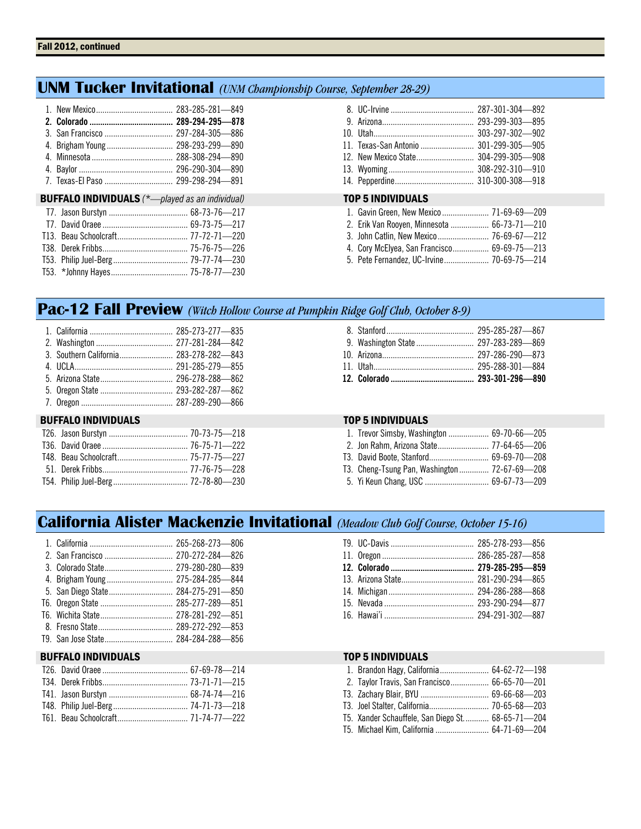## **UNM Tucker Invitational** *(UNM Championship Course, September 28-29)*

|                                                                  | 11. Texas-San Antonio  301-299-305-905                                                                                                                                             |
|------------------------------------------------------------------|------------------------------------------------------------------------------------------------------------------------------------------------------------------------------------|
| <b>BUFFALO INDIVIDUALS</b> $(*$ <i>-played as an individual)</i> | <b>TOP 5 INDIVIDUALS</b>                                                                                                                                                           |
|                                                                  | 2. Erik Van Rooyen, Minnesota  66-73-71-210<br>3. John Catlin, New Mexico 76-69-67-212<br>4. Cory McElyea, San Francisco 69-69-75-213<br>5. Pete Fernandez, UC-Irvine 70-69-75-214 |

## **Pac-12 Fall Preview** *(Witch Hollow Course at Pumpkin Ridge Golf Club, October 8-9)*

## BUFFALO INDIVIDUALS TOP 5 INDIVIDUALS

| 1. Trevor Simsby, Washington  69-70-66-205    |  |
|-----------------------------------------------|--|
|                                               |  |
|                                               |  |
| T3. Cheng-Tsung Pan, Washington  72-67-69-208 |  |

5. Yi Keun Chang, USC .............................. 69-67-73—209

## **California Alister Mackenzie Invitational** *(Meadow Club Golf Course, October 15-16)*

| 4. Brigham Young  275-284-285-844 |  |
|-----------------------------------|--|
|                                   |  |
|                                   |  |
|                                   |  |
|                                   |  |
|                                   |  |

## BUFFALO INDIVIDUALS TOP 5 INDIVIDUALS

| 1. Brandon Hagy, California 64-62-72—198         |  |
|--------------------------------------------------|--|
| 2. Taylor Travis, San Francisco 66-65-70-201     |  |
|                                                  |  |
|                                                  |  |
| T5. Xander Schauffele, San Diego St 68-65-71-204 |  |
| T5. Michael Kim, California  64-71-69-204        |  |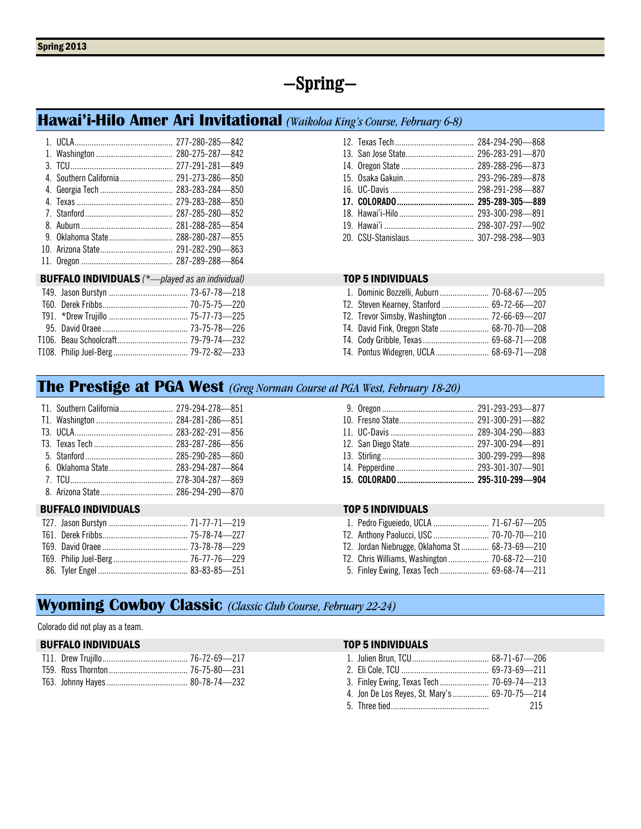# **—Spring—**

## **Hawai'i-Hilo Amer Ari Invitational** *(Waikoloa King's Course, February 6-8)*

|                                                        | 12. Texas Tech             |
|--------------------------------------------------------|----------------------------|
|                                                        | 13. San Jose State         |
|                                                        | 14. Oregon State           |
| 4. Southern California 291-273-286-850                 | 15. Osaka Gakuin           |
|                                                        | 16. UC-Davis               |
|                                                        | 17. COLORADO               |
|                                                        | 18. Hawai'i-Hilo           |
|                                                        | 19. Hawai'i                |
| 9. Oklahoma State 288-280-287-855                      | 20. CSU-Stanislaus         |
|                                                        |                            |
|                                                        |                            |
| <b>BUFFALO INDIVIDUALS</b> (*-played as an individual) | <b>TOP 5 INDIVIDUALS</b>   |
|                                                        | 1. Dominic Bozzelli, Aubu  |
|                                                        | T2. Steven Kearney, Stanf  |
|                                                        | T2. Trevor Simsby, Washir  |
|                                                        | T4. David Fink, Oregon Sta |
|                                                        | T4. Cody Gribble, Texas    |
|                                                        | T4. Pontus Widegren, UCL   |

| 1. Dominic Bozzelli, Auburn  70-68-67-205  |  |
|--------------------------------------------|--|
| T2. Steven Kearney, Stanford  69-72-66-207 |  |
|                                            |  |
| T4. David Fink, Oregon State  68-70-70-208 |  |
|                                            |  |
|                                            |  |

## **The Prestige at PGA West** *(Greg Norman Course at PGA West, February 18-20)*

| T1. Southern California 279-294-278-851 |  |
|-----------------------------------------|--|
|                                         |  |
|                                         |  |
|                                         |  |
|                                         |  |
|                                         |  |
|                                         |  |
|                                         |  |

## BUFFALO INDIVIDUALS TOP 5 INDIVIDUALS

| 12. San Diego State 297-300-294-891 |  |
|-------------------------------------|--|
|                                     |  |
|                                     |  |
|                                     |  |

| 1. Pedro Figueiedo, UCLA  71-67-67-205         |  |
|------------------------------------------------|--|
|                                                |  |
| T2. Jordan Niebrugge, Oklahoma St 68-73-69-210 |  |
|                                                |  |
|                                                |  |

## **Wyoming Cowboy Classic** *(Classic Club Course, February 22-24)*

Colorado did not play as a team.

## BUFFALO INDIVIDUALS TOP 5 INDIVIDUALS

| 4. Jon De Los Reyes, St. Mary's  69-70-75-214 |     |
|-----------------------------------------------|-----|
|                                               | 215 |
|                                               |     |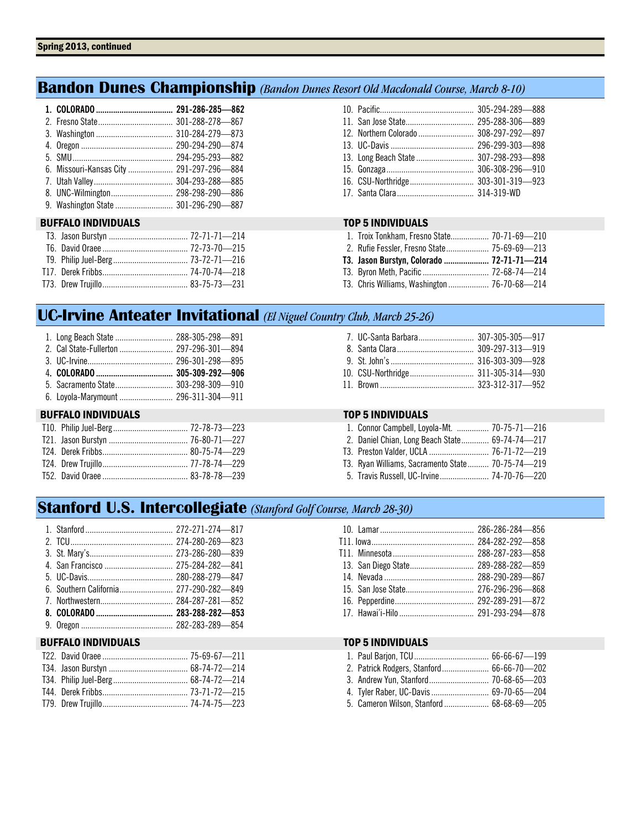## **Bandon Dunes Championship** *(Bandon Dunes Resort Old Macdonald Course, March 8-10)*

| 6. Missouri-Kansas City  291-297-296-884 |  |
|------------------------------------------|--|
|                                          |  |
| 8. UNC-Wilmington 298-298-290-886        |  |
| 9. Washington State  301-296-290-887     |  |

## BUFFALO INDIVIDUALS TOP 5 INDIVIDUALS

| 12. Northern Colorado  308-297-292-897 |  |
|----------------------------------------|--|
|                                        |  |
| 13. Long Beach State  307-298-293-898  |  |
|                                        |  |
|                                        |  |
|                                        |  |

| 1. Troix Tonkham, Fresno State 70-71-69-210  |  |
|----------------------------------------------|--|
| 2. Rufie Fessler, Fresno State 75-69-69-213  |  |
| T3. Jason Burstyn, Colorado  72-71-71-214    |  |
|                                              |  |
| T3. Chris Williams, Washington  76-70-68—214 |  |

## **UC-Irvine Anteater Invitational** *(El Niguel Country Club, March 25-26)*

| 1. Long Beach State  288-305-298-891 |  |
|--------------------------------------|--|
|                                      |  |
|                                      |  |
|                                      |  |
|                                      |  |
|                                      |  |

## BUFFALO INDIVIDUALS TOP 5 INDIVIDUALS

| 1. Connor Campbell, Loyola-Mt.  70-75-71-216     |  |
|--------------------------------------------------|--|
| 2. Daniel Chian, Long Beach State 69-74-74-217   |  |
|                                                  |  |
| T3. Ryan Williams. Sacramento State 70-75-74-219 |  |
| 5. Travis Russell, UC-Irvine 74-70-76-220        |  |

## **Stanford U.S. Intercollegiate** *(Stanford Golf Course, March 28-30)*

## BUFFALO INDIVIDUALS TOP 5 INDIVIDUALS

| 13. San Diego State 289-288-282-859 |  |
|-------------------------------------|--|
|                                     |  |
|                                     |  |
|                                     |  |
|                                     |  |
|                                     |  |
|                                     |  |

|  | 4. Tyler Raber, UC-Davis  69-70-65-204    |  |
|--|-------------------------------------------|--|
|  | 5. Cameron Wilson, Stanford  68-68-69-205 |  |